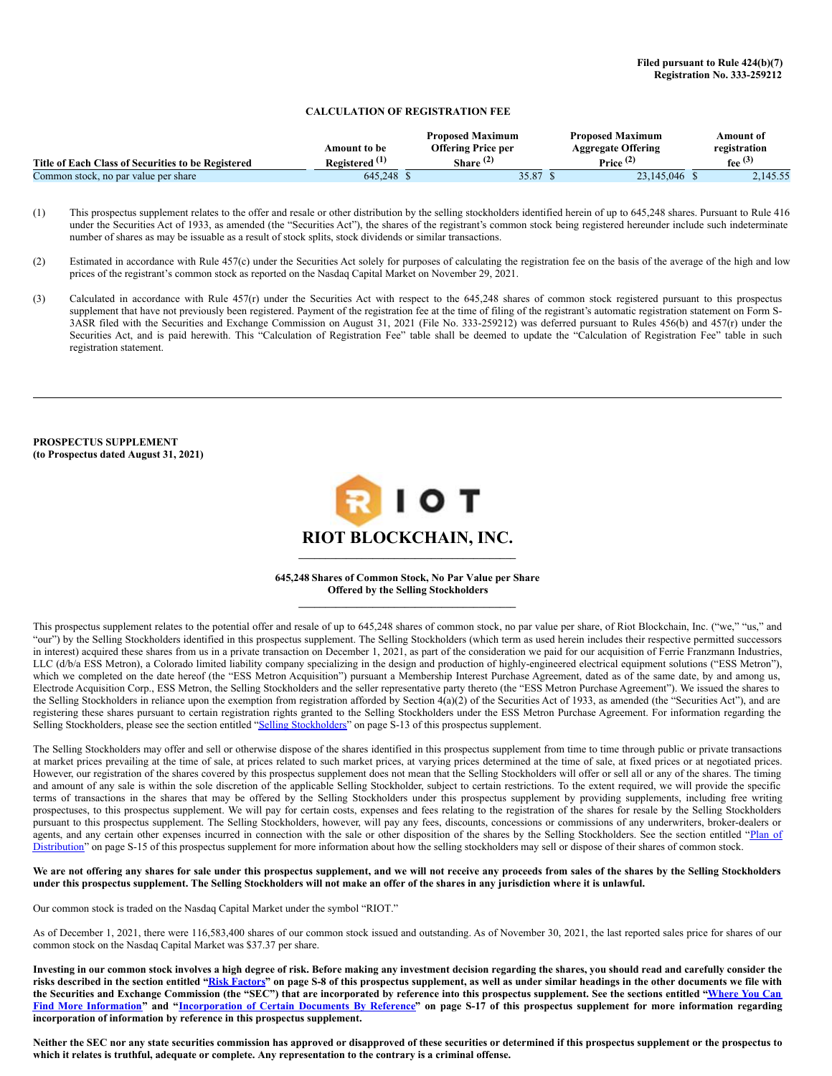## **CALCULATION OF REGISTRATION FEE**

|                                                    |                           | <b>Proposed Maximum</b>   | <b>Proposed Maximum</b>   | Amount of    |
|----------------------------------------------------|---------------------------|---------------------------|---------------------------|--------------|
|                                                    | Amount to be-             | <b>Offering Price per</b> | <b>Aggregate Offering</b> | registration |
| Title of Each Class of Securities to be Registered | Registered <sup>(1)</sup> | Share $(4)$               | Price $(2)$               | fee $(3)$    |
| Common stock, no par value per share               | 645.248                   | 35.87                     | 23,145,046                | 2.145.55     |

(1) This prospectus supplement relates to the offer and resale or other distribution by the selling stockholders identified herein of up to 645,248 shares. Pursuant to Rule 416 under the Securities Act of 1933, as amended (the "Securities Act"), the shares of the registrant's common stock being registered hereunder include such indeterminate number of shares as may be issuable as a result of stock splits, stock dividends or similar transactions.

- (2) Estimated in accordance with Rule 457(c) under the Securities Act solely for purposes of calculating the registration fee on the basis of the average of the high and low prices of the registrant's common stock as reported on the Nasdaq Capital Market on November 29, 2021.
- (3) Calculated in accordance with Rule 457(r) under the Securities Act with respect to the 645,248 shares of common stock registered pursuant to this prospectus supplement that have not previously been registered. Payment of the registration fee at the time of filing of the registrant's automatic registration statement on Form S-3ASR filed with the Securities and Exchange Commission on August 31, 2021 (File No. 333-259212) was deferred pursuant to Rules 456(b) and 457(r) under the Securities Act, and is paid herewith. This "Calculation of Registration Fee" table shall be deemed to update the "Calculation of Registration Fee" table in such registration statement.

**PROSPECTUS SUPPLEMENT (to Prospectus dated August 31, 2021)**



#### **645,248 Shares of Common Stock, No Par Value per Share Offered by the Selling Stockholders**  $\mathcal{L} = \{ \mathcal{L} \}$

 $\mathcal{L} = \{ \mathcal{L} \}$ 

This prospectus supplement relates to the potential offer and resale of up to 645,248 shares of common stock, no par value per share, of Riot Blockchain, Inc. ("we," "us," and "our") by the Selling Stockholders identified in this prospectus supplement. The Selling Stockholders (which term as used herein includes their respective permitted successors in interest) acquired these shares from us in a private transaction on December 1, 2021, as part of the consideration we paid for our acquisition of Ferrie Franzmann Industries, LLC (d/b/a ESS Metron), a Colorado limited liability company specializing in the design and production of highly-engineered electrical equipment solutions ("ESS Metron"), which we completed on the date hereof (the "ESS Metron Acquisition") pursuant a Membership Interest Purchase Agreement, dated as of the same date, by and among us, Electrode Acquisition Corp., ESS Metron, the Selling Stockholders and the seller representative party thereto (the "ESS Metron Purchase Agreement"). We issued the shares to the Selling Stockholders in reliance upon the exemption from registration afforded by Section  $4(a)(2)$  of the Securities Act of 1933, as amended (the "Securities Act"), and are registering these shares pursuant to certain registration rights granted to the Selling Stockholders under the ESS Metron Purchase Agreement. For information regarding the Selling Stockholders, please see the section entitled "Selling [Stockholders](#page-7-0)" on page S-13 of this prospectus supplement.

The Selling Stockholders may offer and sell or otherwise dispose of the shares identified in this prospectus supplement from time to time through public or private transactions at market prices prevailing at the time of sale, at prices related to such market prices, at varying prices determined at the time of sale, at fixed prices or at negotiated prices. However, our registration of the shares covered by this prospectus supplement does not mean that the Selling Stockholders will offer or sell all or any of the shares. The timing and amount of any sale is within the sole discretion of the applicable Selling Stockholder, subject to certain restrictions. To the extent required, we will provide the specific terms of transactions in the shares that may be offered by the Selling Stockholders under this prospectus supplement by providing supplements, including free writing prospectuses, to this prospectus supplement. We will pay for certain costs, expenses and fees relating to the registration of the shares for resale by the Selling Stockholders pursuant to this prospectus supplement. The Selling Stockholders, however, will pay any fees, discounts, concessions or commissions of any underwriters, broker-dealers or agents, and any certain other expenses incurred in connection with the sale or other disposition of the shares by the Selling [Stockholders.](#page-8-0) See the section entitled "Plan of Distribution" on page S-15 of this prospectus supplement for more information about how the selling stockholders may sell or dispose of their shares of common stock.

### We are not offering any shares for sale under this prospectus supplement, and we will not receive any proceeds from sales of the shares by the Selling Stockholders under this prospectus supplement. The Selling Stockholders will not make an offer of the shares in any jurisdiction where it is unlawful.

Our common stock is traded on the Nasdaq Capital Market under the symbol "RIOT."

As of December 1, 2021, there were 116,583,400 shares of our common stock issued and outstanding. As of November 30, 2021, the last reported sales price for shares of our common stock on the Nasdaq Capital Market was \$37.37 per share.

Investing in our common stock involves a high degree of risk. Before making any investment decision regarding the shares, you should read and carefully consider the risks described in the section entitled "Risk [Factors](#page-5-0)" on page S-8 of this prospectus supplement, as well as under similar headings in the other documents we file with the Securities and Exchange Commission (the "SEC") that are incorporated by reference into this prospectus supplement. See the sections entitled "Where You Can Find More Information" and ["Incorporation](#page-9-0) of Certain Documents By Reference" on page S-17 of this prospectus supplement for more information regarding **incorporation of information by reference in this prospectus supplement.**

Neither the SEC nor any state securities commission has approved or disapproved of these securities or determined if this prospectus supplement or the prospectus to which it relates is truthful, adequate or complete. Any representation to the contrary is a criminal offense.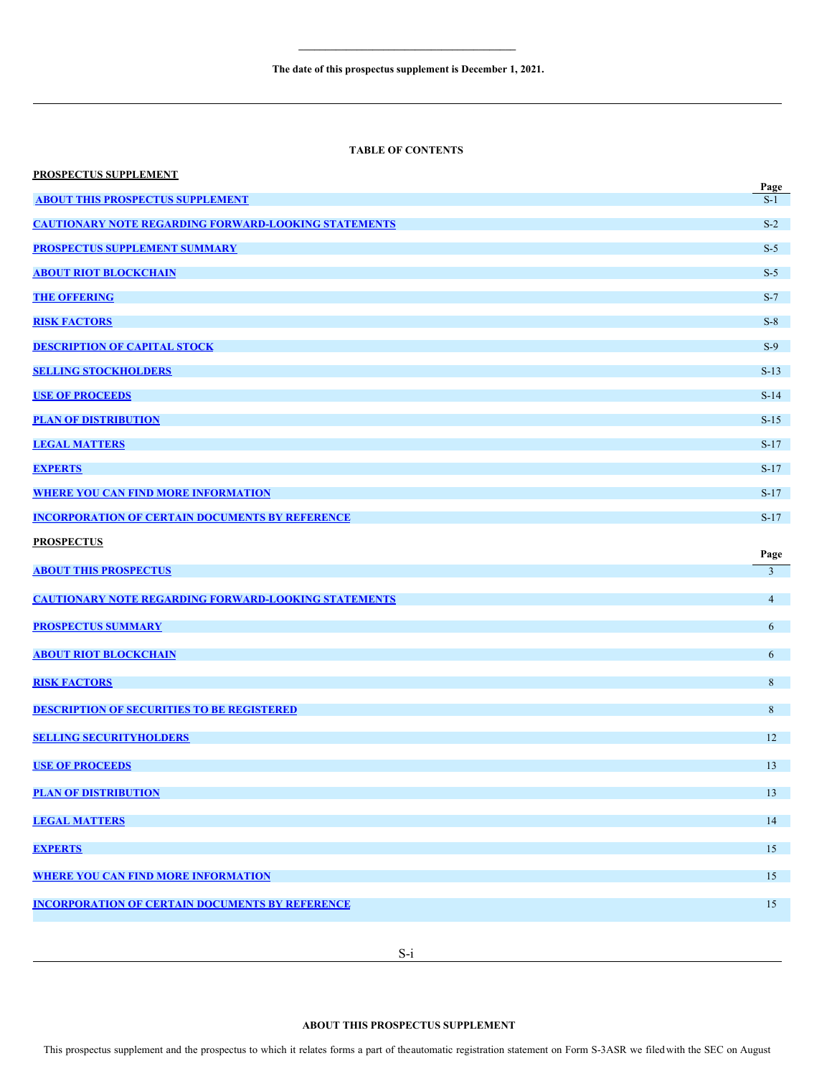# **TABLE OF CONTENTS**

| <b>PROSPECTUS SUPPLEMENT</b>                                | Page           |
|-------------------------------------------------------------|----------------|
| <b>ABOUT THIS PROSPECTUS SUPPLEMENT</b>                     | $S-1$          |
| <b>CAUTIONARY NOTE REGARDING FORWARD-LOOKING STATEMENTS</b> | $S-2$          |
| <b>PROSPECTUS SUPPLEMENT SUMMARY</b>                        | $S-5$          |
| <b>ABOUT RIOT BLOCKCHAIN</b>                                | $S-5$          |
| <b>THE OFFERING</b>                                         | $S-7$          |
| <b>RISK FACTORS</b>                                         | $S-8$          |
| <b>DESCRIPTION OF CAPITAL STOCK</b>                         | $S-9$          |
| <b>SELLING STOCKHOLDERS</b>                                 | $S-13$         |
| <b>USE OF PROCEEDS</b>                                      | $S-14$         |
| <b>PLAN OF DISTRIBUTION</b>                                 | $S-15$         |
| <b>LEGAL MATTERS</b>                                        | $S-17$         |
| <b>EXPERTS</b>                                              | $S-17$         |
| <b>WHERE YOU CAN FIND MORE INFORMATION</b>                  | $S-17$         |
| <b>INCORPORATION OF CERTAIN DOCUMENTS BY REFERENCE</b>      | $S-17$         |
| <b>PROSPECTUS</b>                                           |                |
|                                                             |                |
| <b>ABOUT THIS PROSPECTUS</b>                                | Page<br>3      |
| <b>CAUTIONARY NOTE REGARDING FORWARD-LOOKING STATEMENTS</b> | $\overline{4}$ |
|                                                             |                |
| <b>PROSPECTUS SUMMARY</b>                                   | 6              |
| <b>ABOUT RIOT BLOCKCHAIN</b>                                | 6              |
| <b>RISK FACTORS</b>                                         | 8              |
| <b>DESCRIPTION OF SECURITIES TO BE REGISTERED</b>           | 8              |
| <b>SELLING SECURITYHOLDERS</b>                              | 12             |
| <b>USE OF PROCEEDS</b>                                      | 13             |
| <b>PLAN OF DISTRIBUTION</b>                                 | 13             |
|                                                             |                |
| <b>LEGAL MATTERS</b>                                        | 14             |
| <b>EXPERTS</b>                                              | 15             |
| <b>WHERE YOU CAN FIND MORE INFORMATION</b>                  | 15             |
| <b>INCORPORATION OF CERTAIN DOCUMENTS BY REFERENCE</b>      | 15             |

# <span id="page-1-0"></span>**ABOUT THIS PROSPECTUS SUPPLEMENT**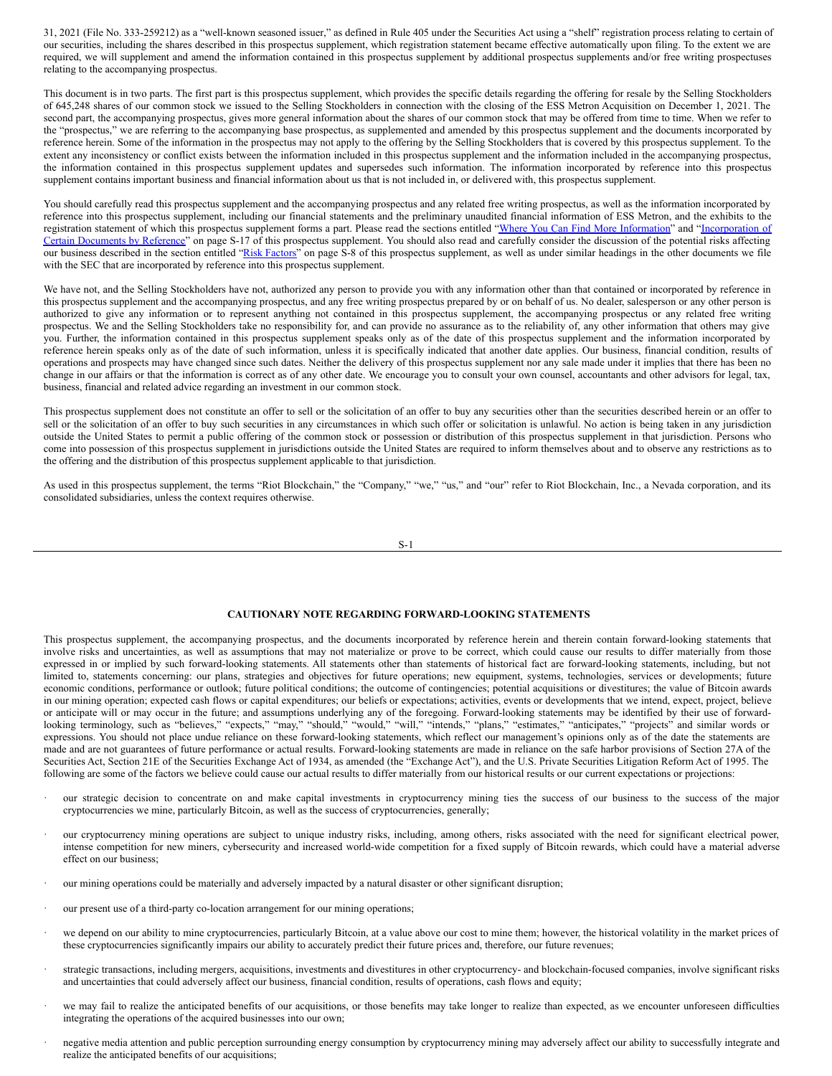31, 2021 (File No. 333-259212) as a "well-known seasoned issuer," as defined in Rule 405 under the Securities Act using a "shelf" registration process relating to certain of our securities, including the shares described in this prospectus supplement, which registration statement became effective automatically upon filing. To the extent we are required, we will supplement and amend the information contained in this prospectus supplement by additional prospectus supplements and/or free writing prospectuses relating to the accompanying prospectus.

This document is in two parts. The first part is this prospectus supplement, which provides the specific details regarding the offering for resale by the Selling Stockholders of 645,248 shares of our common stock we issued to the Selling Stockholders in connection with the closing of the ESS Metron Acquisition on December 1, 2021. The second part, the accompanying prospectus, gives more general information about the shares of our common stock that may be offered from time to time. When we refer to the "prospectus," we are referring to the accompanying base prospectus, as supplemented and amended by this prospectus supplement and the documents incorporated by reference herein. Some of the information in the prospectus may not apply to the offering by the Selling Stockholders that is covered by this prospectus supplement. To the extent any inconsistency or conflict exists between the information included in this prospectus supplement and the information included in the accompanying prospectus, the information contained in this prospectus supplement updates and supersedes such information. The information incorporated by reference into this prospectus supplement contains important business and financial information about us that is not included in, or delivered with, this prospectus supplement.

You should carefully read this prospectus supplement and the accompanying prospectus and any related free writing prospectus, as well as the information incorporated by reference into this prospectus supplement, including our financial statements and the preliminary unaudited financial information of ESS Metron, and the exhibits to the registration statement of which this prospectus supplement forms a part. Please read the sections entitled "Where You Can Find More [Information"](#page-9-0) and ["Incorporation](#page-9-1) of Certain Documents by Reference" on page S-17 of this prospectus supplement. You should also read and carefully consider the discussion of the potential risks affecting our business described in the section entitled "Risk [Factors](#page-5-0)" on page S-8 of this prospectus supplement, as well as under similar headings in the other documents we file with the SEC that are incorporated by reference into this prospectus supplement.

We have not, and the Selling Stockholders have not, authorized any person to provide you with any information other than that contained or incorporated by reference in this prospectus supplement and the accompanying prospectus, and any free writing prospectus prepared by or on behalf of us. No dealer, salesperson or any other person is authorized to give any information or to represent anything not contained in this prospectus supplement, the accompanying prospectus or any related free writing prospectus. We and the Selling Stockholders take no responsibility for, and can provide no assurance as to the reliability of, any other information that others may give you. Further, the information contained in this prospectus supplement speaks only as of the date of this prospectus supplement and the information incorporated by reference herein speaks only as of the date of such information, unless it is specifically indicated that another date applies. Our business, financial condition, results of operations and prospects may have changed since such dates. Neither the delivery of this prospectus supplement nor any sale made under it implies that there has been no change in our affairs or that the information is correct as of any other date. We encourage you to consult your own counsel, accountants and other advisors for legal, tax, business, financial and related advice regarding an investment in our common stock.

This prospectus supplement does not constitute an offer to sell or the solicitation of an offer to buy any securities other than the securities described herein or an offer to sell or the solicitation of an offer to buy such securities in any circumstances in which such offer or solicitation is unlawful. No action is being taken in any jurisdiction outside the United States to permit a public offering of the common stock or possession or distribution of this prospectus supplement in that jurisdiction. Persons who come into possession of this prospectus supplement in jurisdictions outside the United States are required to inform themselves about and to observe any restrictions as to the offering and the distribution of this prospectus supplement applicable to that jurisdiction.

As used in this prospectus supplement, the terms "Riot Blockchain," the "Company," "we," "us," and "our" refer to Riot Blockchain, Inc., a Nevada corporation, and its consolidated subsidiaries, unless the context requires otherwise.

$$
S-1
$$

## <span id="page-2-0"></span>**CAUTIONARY NOTE REGARDING FORWARD-LOOKING STATEMENTS**

This prospectus supplement, the accompanying prospectus, and the documents incorporated by reference herein and therein contain forward-looking statements that involve risks and uncertainties, as well as assumptions that may not materialize or prove to be correct, which could cause our results to differ materially from those expressed in or implied by such forward-looking statements. All statements other than statements of historical fact are forward-looking statements, including, but not limited to, statements concerning: our plans, strategies and objectives for future operations; new equipment, systems, technologies, services or developments; future economic conditions, performance or outlook; future political conditions; the outcome of contingencies; potential acquisitions or divestitures; the value of Bitcoin awards in our mining operation; expected cash flows or capital expenditures; our beliefs or expectations; activities, events or developments that we intend, expect, project, believe or anticipate will or may occur in the future; and assumptions underlying any of the foregoing. Forward-looking statements may be identified by their use of forwardlooking terminology, such as "believes," "expects," "may," "should," "would," "will," "intends," "plans," "estimates," "anticipates," "projects" and similar words or expressions. You should not place undue reliance on these forward-looking statements, which reflect our management's opinions only as of the date the statements are made and are not guarantees of future performance or actual results. Forward-looking statements are made in reliance on the safe harbor provisions of Section 27A of the Securities Act, Section 21E of the Securities Exchange Act of 1934, as amended (the "Exchange Act"), and the U.S. Private Securities Litigation Reform Act of 1995. The following are some of the factors we believe could cause our actual results to differ materially from our historical results or our current expectations or projections:

- our strategic decision to concentrate on and make capital investments in cryptocurrency mining ties the success of our business to the success of the major cryptocurrencies we mine, particularly Bitcoin, as well as the success of cryptocurrencies, generally;
- · our cryptocurrency mining operations are subject to unique industry risks, including, among others, risks associated with the need for significant electrical power, intense competition for new miners, cybersecurity and increased world-wide competition for a fixed supply of Bitcoin rewards, which could have a material adverse effect on our business;
- our mining operations could be materially and adversely impacted by a natural disaster or other significant disruption;
- our present use of a third-party co-location arrangement for our mining operations;
- we depend on our ability to mine cryptocurrencies, particularly Bitcoin, at a value above our cost to mine them; however, the historical volatility in the market prices of these cryptocurrencies significantly impairs our ability to accurately predict their future prices and, therefore, our future revenues;
- · strategic transactions, including mergers, acquisitions, investments and divestitures in other cryptocurrency- and blockchain-focused companies, involve significant risks and uncertainties that could adversely affect our business, financial condition, results of operations, cash flows and equity;
- we may fail to realize the anticipated benefits of our acquisitions, or those benefits may take longer to realize than expected, as we encounter unforeseen difficulties integrating the operations of the acquired businesses into our own;
- · negative media attention and public perception surrounding energy consumption by cryptocurrency mining may adversely affect our ability to successfully integrate and realize the anticipated benefits of our acquisitions;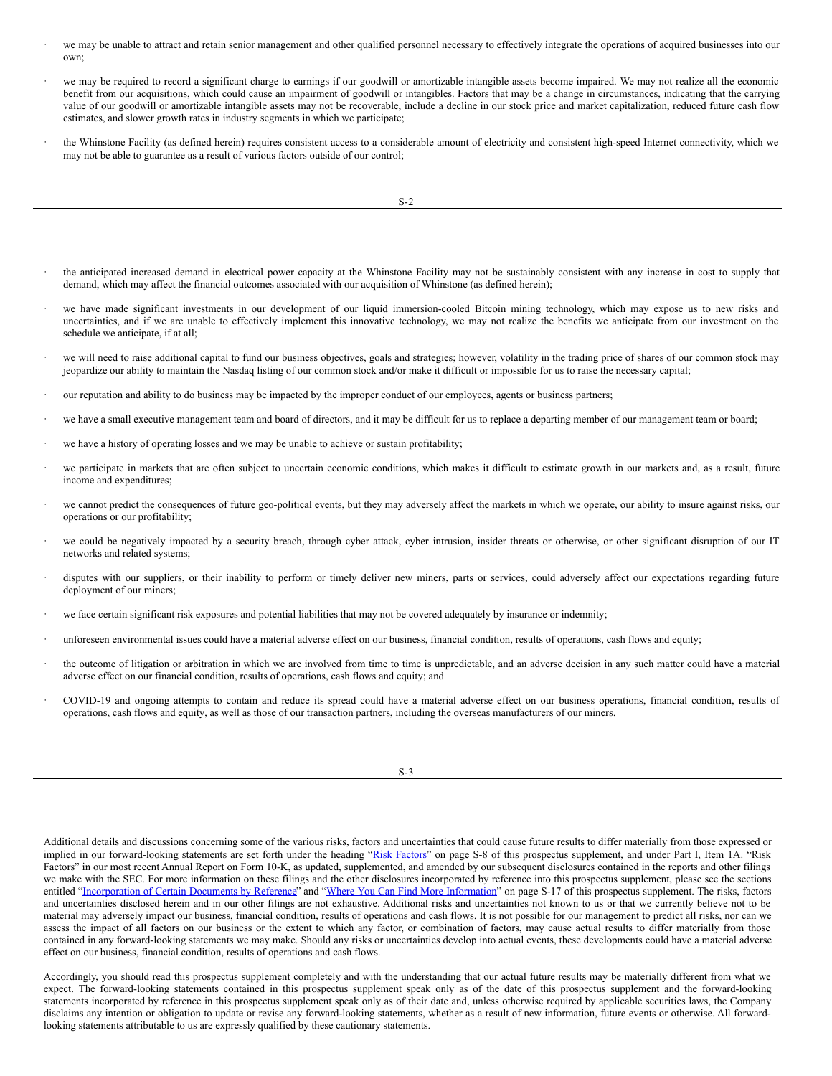- we may be unable to attract and retain senior management and other qualified personnel necessary to effectively integrate the operations of acquired businesses into our own;
- we may be required to record a significant charge to earnings if our goodwill or amortizable intangible assets become impaired. We may not realize all the economic benefit from our acquisitions, which could cause an impairment of goodwill or intangibles. Factors that may be a change in circumstances, indicating that the carrying value of our goodwill or amortizable intangible assets may not be recoverable, include a decline in our stock price and market capitalization, reduced future cash flow estimates, and slower growth rates in industry segments in which we participate;
- the Whinstone Facility (as defined herein) requires consistent access to a considerable amount of electricity and consistent high-speed Internet connectivity, which we may not be able to guarantee as a result of various factors outside of our control;

- · the anticipated increased demand in electrical power capacity at the Whinstone Facility may not be sustainably consistent with any increase in cost to supply that demand, which may affect the financial outcomes associated with our acquisition of Whinstone (as defined herein);
- we have made significant investments in our development of our liquid immersion-cooled Bitcoin mining technology, which may expose us to new risks and uncertainties, and if we are unable to effectively implement this innovative technology, we may not realize the benefits we anticipate from our investment on the schedule we anticipate, if at all;
- we will need to raise additional capital to fund our business objectives, goals and strategies; however, volatility in the trading price of shares of our common stock may jeopardize our ability to maintain the Nasdaq listing of our common stock and/or make it difficult or impossible for us to raise the necessary capital;
- our reputation and ability to do business may be impacted by the improper conduct of our employees, agents or business partners;
- we have a small executive management team and board of directors, and it may be difficult for us to replace a departing member of our management team or board;
- we have a history of operating losses and we may be unable to achieve or sustain profitability;
- we participate in markets that are often subject to uncertain economic conditions, which makes it difficult to estimate growth in our markets and, as a result, future income and expenditures;
- we cannot predict the consequences of future geo-political events, but they may adversely affect the markets in which we operate, our ability to insure against risks, our operations or our profitability;
- we could be negatively impacted by a security breach, through cyber attack, cyber intrusion, insider threats or otherwise, or other significant disruption of our IT networks and related systems;
- disputes with our suppliers, or their inability to perform or timely deliver new miners, parts or services, could adversely affect our expectations regarding future deployment of our miners;
- we face certain significant risk exposures and potential liabilities that may not be covered adequately by insurance or indemnity;
- · unforeseen environmental issues could have a material adverse effect on our business, financial condition, results of operations, cash flows and equity;
- the outcome of litigation or arbitration in which we are involved from time to time is unpredictable, and an adverse decision in any such matter could have a material adverse effect on our financial condition, results of operations, cash flows and equity; and
- · COVID-19 and ongoing attempts to contain and reduce its spread could have a material adverse effect on our business operations, financial condition, results of operations, cash flows and equity, as well as those of our transaction partners, including the overseas manufacturers of our miners.

S-3

Additional details and discussions concerning some of the various risks, factors and uncertainties that could cause future results to differ materially from those expressed or implied in our forward-looking statements are set forth under the heading "Risk [Factors](#page-5-0)" on page S-8 of this prospectus supplement, and under Part I, Item 1A. "Risk Factors" in our most recent Annual Report on Form 10-K, as updated, supplemented, and amended by our subsequent disclosures contained in the reports and other filings we make with the SEC. For more information on these filings and the other disclosures incorporated by reference into this prospectus supplement, please see the sections entitled "[Incorporation](#page-9-1) of Certain Documents by Reference" and "Where You Can Find More [Information](#page-9-0)" on page S-17 of this prospectus supplement. The risks, factors and uncertainties disclosed herein and in our other filings are not exhaustive. Additional risks and uncertainties not known to us or that we currently believe not to be material may adversely impact our business, financial condition, results of operations and cash flows. It is not possible for our management to predict all risks, nor can we assess the impact of all factors on our business or the extent to which any factor, or combination of factors, may cause actual results to differ materially from those contained in any forward-looking statements we may make. Should any risks or uncertainties develop into actual events, these developments could have a material adverse effect on our business, financial condition, results of operations and cash flows.

Accordingly, you should read this prospectus supplement completely and with the understanding that our actual future results may be materially different from what we expect. The forward-looking statements contained in this prospectus supplement speak only as of the date of this prospectus supplement and the forward-looking statements incorporated by reference in this prospectus supplement speak only as of their date and, unless otherwise required by applicable securities laws, the Company disclaims any intention or obligation to update or revise any forward-looking statements, whether as a result of new information, future events or otherwise. All forwardlooking statements attributable to us are expressly qualified by these cautionary statements.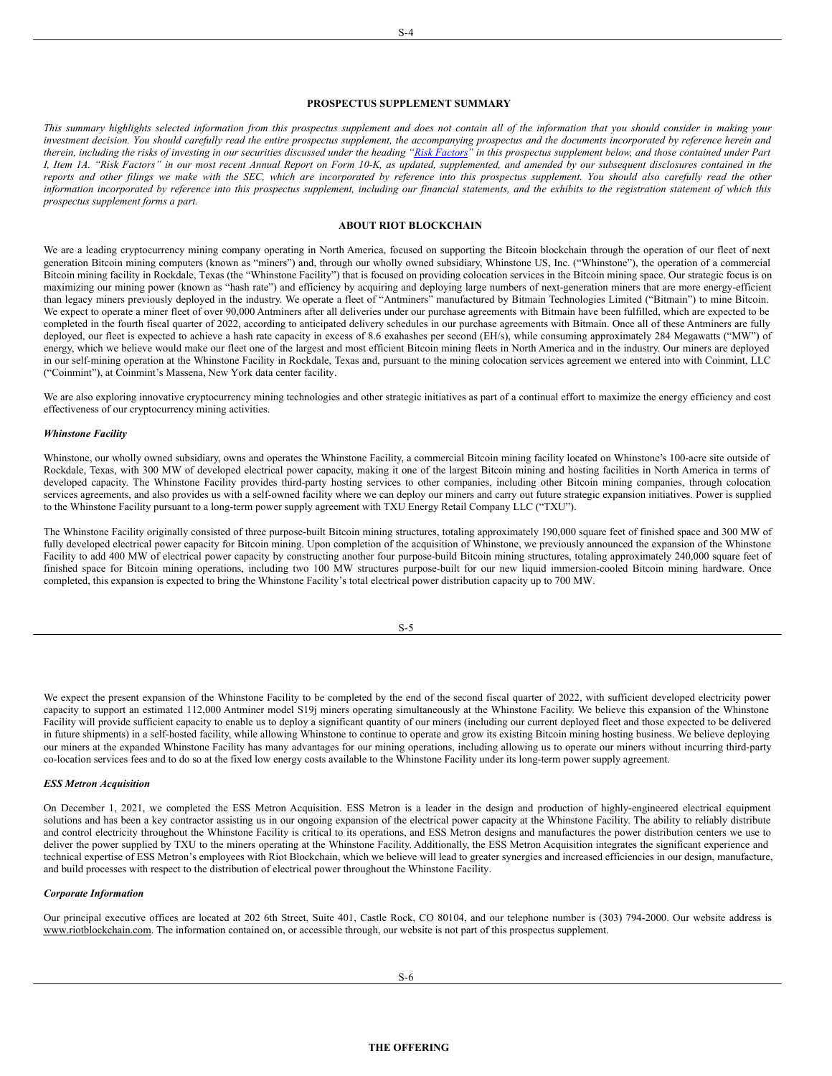#### S-4

#### <span id="page-4-0"></span>**PROSPECTUS SUPPLEMENT SUMMARY**

This summary highlights selected information from this prospectus supplement and does not contain all of the information that you should consider in making your investment decision. You should carefully read the entire prospectus supplement, the accompanying prospectus and the documents incorporated by reference herein and therein, including the risks of investing in our securities discussed under the heading "Risk [Factors](#page-5-0)" in this prospectus supplement below, and those contained under Part I, Item 1A. "Risk Factors" in our most recent Annual Report on Form 10-K, as updated, supplemented, and amended by our subsequent disclosures contained in the reports and other filings we make with the SEC, which are incorporated by reference into this prospectus supplement. You should also carefully read the other information incorporated by reference into this prospectus supplement, including our financial statements, and the exhibits to the registration statement of which this *prospectus supplement forms a part.*

## <span id="page-4-1"></span>**ABOUT RIOT BLOCKCHAIN**

We are a leading cryptocurrency mining company operating in North America, focused on supporting the Bitcoin blockchain through the operation of our fleet of next generation Bitcoin mining computers (known as "miners") and, through our wholly owned subsidiary, Whinstone US, Inc. ("Whinstone"), the operation of a commercial Bitcoin mining facility in Rockdale, Texas (the "Whinstone Facility") that is focused on providing colocation services in the Bitcoin mining space. Our strategic focus is on maximizing our mining power (known as "hash rate") and efficiency by acquiring and deploying large numbers of next-generation miners that are more energy-efficient than legacy miners previously deployed in the industry. We operate a fleet of "Antminers" manufactured by Bitmain Technologies Limited ("Bitmain") to mine Bitcoin. We expect to operate a miner fleet of over 90,000 Antminers after all deliveries under our purchase agreements with Bitmain have been fulfilled, which are expected to be completed in the fourth fiscal quarter of 2022, according to anticipated delivery schedules in our purchase agreements with Bitmain. Once all of these Antminers are fully deployed, our fleet is expected to achieve a hash rate capacity in excess of 8.6 exahashes per second (EH/s), while consuming approximately 284 Megawatts ("MW") of energy, which we believe would make our fleet one of the largest and most efficient Bitcoin mining fleets in North America and in the industry. Our miners are deployed in our self-mining operation at the Whinstone Facility in Rockdale, Texas and, pursuant to the mining colocation services agreement we entered into with Coinmint, LLC ("Coinmint"), at Coinmint's Massena, New York data center facility.

We are also exploring innovative cryptocurrency mining technologies and other strategic initiatives as part of a continual effort to maximize the energy efficiency and cost effectiveness of our cryptocurrency mining activities.

#### *Whinstone Facility*

Whinstone, our wholly owned subsidiary, owns and operates the Whinstone Facility, a commercial Bitcoin mining facility located on Whinstone's 100-acre site outside of Rockdale, Texas, with 300 MW of developed electrical power capacity, making it one of the largest Bitcoin mining and hosting facilities in North America in terms of developed capacity. The Whinstone Facility provides third-party hosting services to other companies, including other Bitcoin mining companies, through colocation services agreements, and also provides us with a self-owned facility where we can deploy our miners and carry out future strategic expansion initiatives. Power is supplied to the Whinstone Facility pursuant to a long-term power supply agreement with TXU Energy Retail Company LLC ("TXU").

The Whinstone Facility originally consisted of three purpose-built Bitcoin mining structures, totaling approximately 190,000 square feet of finished space and 300 MW of fully developed electrical power capacity for Bitcoin mining. Upon completion of the acquisition of Whinstone, we previously announced the expansion of the Whinstone Facility to add 400 MW of electrical power capacity by constructing another four purpose-build Bitcoin mining structures, totaling approximately 240,000 square feet of finished space for Bitcoin mining operations, including two 100 MW structures purpose-built for our new liquid immersion-cooled Bitcoin mining hardware. Once completed, this expansion is expected to bring the Whinstone Facility's total electrical power distribution capacity up to 700 MW.

| i<br>-<br>٦<br>۰.<br>v | I<br>I<br>۰.<br>× |
|------------------------|-------------------|

We expect the present expansion of the Whinstone Facility to be completed by the end of the second fiscal quarter of 2022, with sufficient developed electricity power capacity to support an estimated 112,000 Antminer model S19j miners operating simultaneously at the Whinstone Facility. We believe this expansion of the Whinstone Facility will provide sufficient capacity to enable us to deploy a significant quantity of our miners (including our current deployed fleet and those expected to be delivered in future shipments) in a self-hosted facility, while allowing Whinstone to continue to operate and grow its existing Bitcoin mining hosting business. We believe deploying our miners at the expanded Whinstone Facility has many advantages for our mining operations, including allowing us to operate our miners without incurring third-party co-location services fees and to do so at the fixed low energy costs available to the Whinstone Facility under its long-term power supply agreement.

## *ESS Metron Acquisition*

On December 1, 2021, we completed the ESS Metron Acquisition. ESS Metron is a leader in the design and production of highly-engineered electrical equipment solutions and has been a key contractor assisting us in our ongoing expansion of the electrical power capacity at the Whinstone Facility. The ability to reliably distribute and control electricity throughout the Whinstone Facility is critical to its operations, and ESS Metron designs and manufactures the power distribution centers we use to deliver the power supplied by TXU to the miners operating at the Whinstone Facility. Additionally, the ESS Metron Acquisition integrates the significant experience and technical expertise of ESS Metron's employees with Riot Blockchain, which we believe will lead to greater synergies and increased efficiencies in our design, manufacture, and build processes with respect to the distribution of electrical power throughout the Whinstone Facility.

#### *Corporate Information*

<span id="page-4-2"></span>Our principal executive offices are located at 202 6th Street, Suite 401, Castle Rock, CO 80104, and our telephone number is (303) 794-2000. Our website address is www.riotblockchain.com. The information contained on, or accessible through, our website is not part of this prospectus supplement.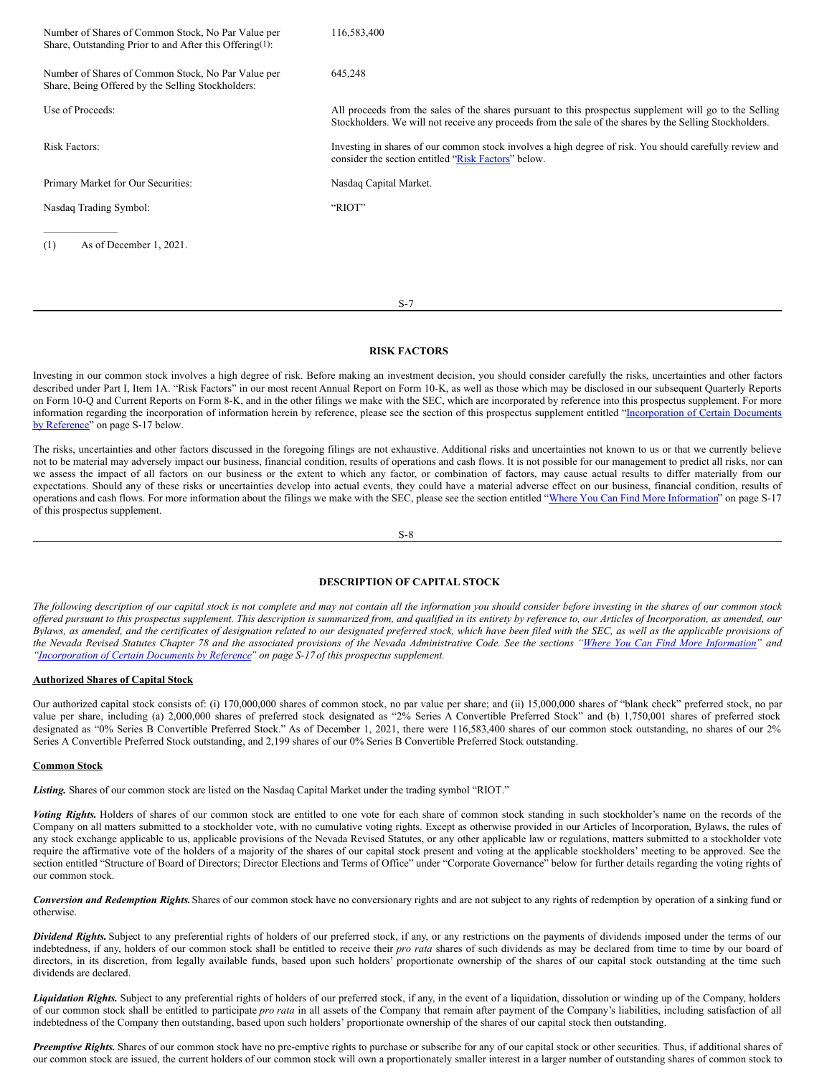| Number of Shares of Common Stock, No Par Value per<br>Share, Outstanding Prior to and After this Offering(1): | 116,583,400                                                                                                                                                                                                        |
|---------------------------------------------------------------------------------------------------------------|--------------------------------------------------------------------------------------------------------------------------------------------------------------------------------------------------------------------|
| Number of Shares of Common Stock, No Par Value per<br>Share, Being Offered by the Selling Stockholders:       | 645,248                                                                                                                                                                                                            |
| Use of Proceeds:                                                                                              | All proceeds from the sales of the shares pursuant to this prospectus supplement will go to the Selling<br>Stockholders. We will not receive any proceeds from the sale of the shares by the Selling Stockholders. |
| <b>Risk Factors:</b>                                                                                          | Investing in shares of our common stock involves a high degree of risk. You should carefully review and<br>consider the section entitled "Risk Factors" below.                                                     |
| Primary Market for Our Securities:                                                                            | Nasdaq Capital Market.                                                                                                                                                                                             |
| Nasdaq Trading Symbol:                                                                                        | "RIOT"                                                                                                                                                                                                             |
| As of December 1, 2021.<br>(1)                                                                                |                                                                                                                                                                                                                    |

#### <span id="page-5-0"></span>**RISK FACTORS**

S-7

Investing in our common stock involves a high degree of risk. Before making an investment decision, you should consider carefully the risks, uncertainties and other factors described under Part I, Item 1A. "Risk Factors" in our most recent Annual Report on Form 10-K, as well as those which may be disclosed in our subsequent Quarterly Reports on Form 10-Q and Current Reports on Form 8-K, and in the other filings we make with the SEC, which are incorporated by reference into this prospectus supplement. For more information regarding the incorporation of information herein by reference, please see the section of this prospectus supplement entitled ["Incorporation](#page-9-1) of Certain Documents by Reference" on page S-17 below.

The risks, uncertainties and other factors discussed in the foregoing filings are not exhaustive. Additional risks and uncertainties not known to us or that we currently believe not to be material may adversely impact our business, financial condition, results of operations and cash flows. It is not possible for our management to predict all risks, nor can we assess the impact of all factors on our business or the extent to which any factor, or combination of factors, may cause actual results to differ materially from our expectations. Should any of these risks or uncertainties develop into actual events, they could have a material adverse effect on our business, financial condition, results of operations and cash flows. For more information about the filings we make with the SEC, please see the section entitled "Where You Can Find More [Information](#page-9-0)" on page S-17 of this prospectus supplement.

S-8

# <span id="page-5-1"></span>**DESCRIPTION OF CAPITAL STOCK**

The following description of our capital stock is not complete and may not contain all the information you should consider before investing in the shares of our common stock offered pursuant to this prospectus supplement. This description is summarized from, and qualified in its entirety by reference to, our Articles of Incorporation, as amended, our Bylaws, as amended, and the certificates of designation related to our designated preferred stock, which have been filed with the SEC, as well as the applicable provisions of the Nevada Revised Statutes Chapter 78 and the associated provisions of the Nevada Administrative Code. See the sections "Where You Can Find More [Information](#page-9-0)" and *["Incorporation](#page-9-1) of Certain Documents by Reference" on page S-17 of this prospectus supplement.*

#### **Authorized Shares of Capital Stock**

Our authorized capital stock consists of: (i) 170,000,000 shares of common stock, no par value per share; and (ii) 15,000,000 shares of "blank check" preferred stock, no par value per share, including (a) 2,000,000 shares of preferred stock designated as "2% Series A Convertible Preferred Stock" and (b) 1,750,001 shares of preferred stock designated as "0% Series B Convertible Preferred Stock." As of December 1, 2021, there were 116,583,400 shares of our common stock outstanding, no shares of our 2% Series A Convertible Preferred Stock outstanding, and 2,199 shares of our 0% Series B Convertible Preferred Stock outstanding.

#### **Common Stock**

*Listing.* Shares of our common stock are listed on the Nasdaq Capital Market under the trading symbol "RIOT."

*Voting Rights.* Holders of shares of our common stock are entitled to one vote for each share of common stock standing in such stockholder's name on the records of the Company on all matters submitted to a stockholder vote, with no cumulative voting rights. Except as otherwise provided in our Articles of Incorporation, Bylaws, the rules of any stock exchange applicable to us, applicable provisions of the Nevada Revised Statutes, or any other applicable law or regulations, matters submitted to a stockholder vote require the affirmative vote of the holders of a majority of the shares of our capital stock present and voting at the applicable stockholders' meeting to be approved. See the section entitled "Structure of Board of Directors; Director Elections and Terms of Office" under "Corporate Governance" below for further details regarding the voting rights of our common stock.

*Conversion and Redemption Rights.*Shares of our common stock have no conversionary rights and are not subject to any rights of redemption by operation of a sinking fund or otherwise.

*Dividend Rights.* Subject to any preferential rights of holders of our preferred stock, if any, or any restrictions on the payments of dividends imposed under the terms of our indebtedness, if any, holders of our common stock shall be entitled to receive their *pro rata* shares of such dividends as may be declared from time to time by our board of directors, in its discretion, from legally available funds, based upon such holders' proportionate ownership of the shares of our capital stock outstanding at the time such dividends are declared.

*Liquidation Rights*. Subject to any preferential rights of holders of our preferred stock, if any, in the event of a liquidation, dissolution or winding up of the Company, holders of our common stock shall be entitled to participate *pro rata* in all assets of the Company that remain after payment of the Company's liabilities, including satisfaction of all indebtedness of the Company then outstanding, based upon such holders' proportionate ownership of the shares of our capital stock then outstanding.

*Preemptive Rights.* Shares of our common stock have no pre-emptive rights to purchase or subscribe for any of our capital stock or other securities. Thus, if additional shares of our common stock are issued, the current holders of our common stock will own a proportionately smaller interest in a larger number of outstanding shares of common stock to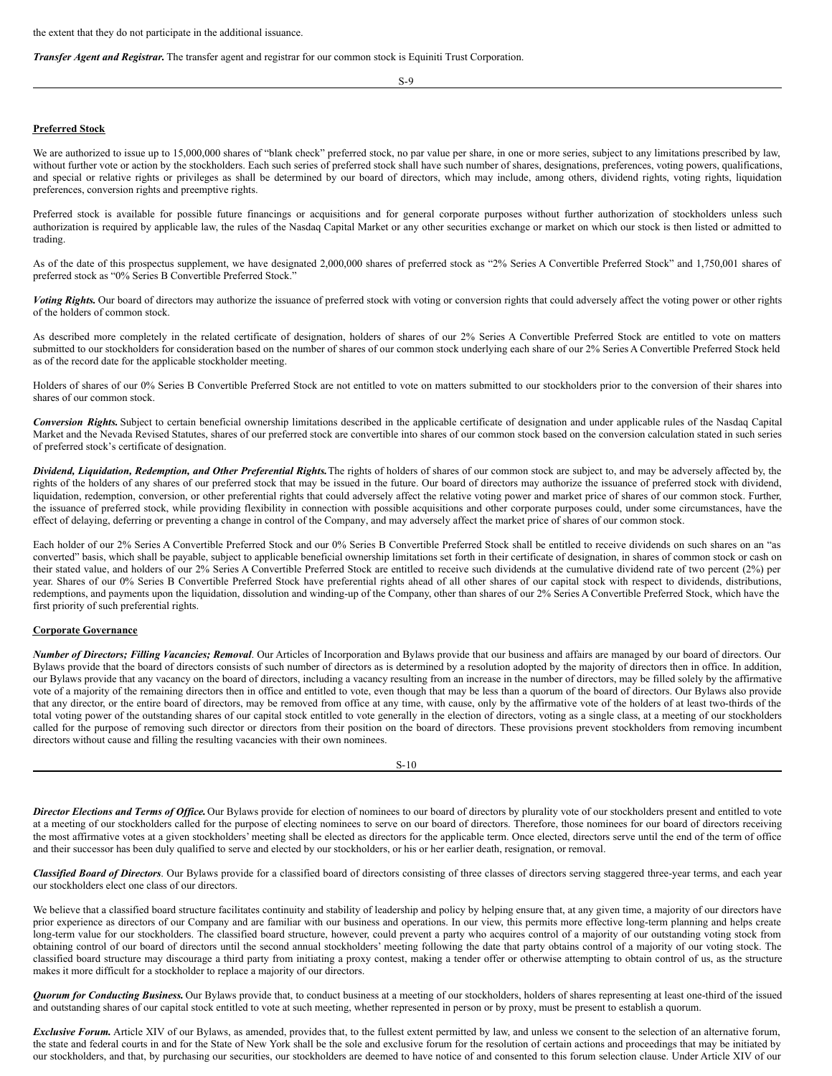the extent that they do not participate in the additional issuance.

*Transfer Agent and Registrar.* The transfer agent and registrar for our common stock is Equiniti Trust Corporation.

S-9

## **Preferred Stock**

We are authorized to issue up to 15,000,000 shares of "blank check" preferred stock, no par value per share, in one or more series, subject to any limitations prescribed by law, without further vote or action by the stockholders. Each such series of preferred stock shall have such number of shares, designations, preferences, voting powers, qualifications, and special or relative rights or privileges as shall be determined by our board of directors, which may include, among others, dividend rights, voting rights, liquidation preferences, conversion rights and preemptive rights.

Preferred stock is available for possible future financings or acquisitions and for general corporate purposes without further authorization of stockholders unless such authorization is required by applicable law, the rules of the Nasdaq Capital Market or any other securities exchange or market on which our stock is then listed or admitted to trading.

As of the date of this prospectus supplement, we have designated 2,000,000 shares of preferred stock as "2% Series A Convertible Preferred Stock" and 1,750,001 shares of preferred stock as "0% Series B Convertible Preferred Stock."

*Voting Rights.* Our board of directors may authorize the issuance of preferred stock with voting or conversion rights that could adversely affect the voting power or other rights of the holders of common stock.

As described more completely in the related certificate of designation, holders of shares of our 2% Series A Convertible Preferred Stock are entitled to vote on matters submitted to our stockholders for consideration based on the number of shares of our common stock underlying each share of our 2% Series A Convertible Preferred Stock held as of the record date for the applicable stockholder meeting.

Holders of shares of our 0% Series B Convertible Preferred Stock are not entitled to vote on matters submitted to our stockholders prior to the conversion of their shares into shares of our common stock.

*Conversion Rights.* Subject to certain beneficial ownership limitations described in the applicable certificate of designation and under applicable rules of the Nasdaq Capital Market and the Nevada Revised Statutes, shares of our preferred stock are convertible into shares of our common stock based on the conversion calculation stated in such series of preferred stock's certificate of designation.

*Dividend, Liquidation, Redemption, and Other Preferential Rights.*The rights of holders of shares of our common stock are subject to, and may be adversely affected by, the rights of the holders of any shares of our preferred stock that may be issued in the future. Our board of directors may authorize the issuance of preferred stock with dividend, liquidation, redemption, conversion, or other preferential rights that could adversely affect the relative voting power and market price of shares of our common stock. Further, the issuance of preferred stock, while providing flexibility in connection with possible acquisitions and other corporate purposes could, under some circumstances, have the effect of delaying, deferring or preventing a change in control of the Company, and may adversely affect the market price of shares of our common stock.

Each holder of our 2% Series A Convertible Preferred Stock and our 0% Series B Convertible Preferred Stock shall be entitled to receive dividends on such shares on an "as converted" basis, which shall be payable, subject to applicable beneficial ownership limitations set forth in their certificate of designation, in shares of common stock or cash on their stated value, and holders of our 2% Series A Convertible Preferred Stock are entitled to receive such dividends at the cumulative dividend rate of two percent (2%) per year. Shares of our 0% Series B Convertible Preferred Stock have preferential rights ahead of all other shares of our capital stock with respect to dividends, distributions, redemptions, and payments upon the liquidation, dissolution and winding-up of the Company, other than shares of our 2% Series A Convertible Preferred Stock, which have the first priority of such preferential rights.

#### **Corporate Governance**

*Number of Directors; Filling Vacancies; Removal*. Our Articles of Incorporation and Bylaws provide that our business and affairs are managed by our board of directors. Our Bylaws provide that the board of directors consists of such number of directors as is determined by a resolution adopted by the majority of directors then in office. In addition, our Bylaws provide that any vacancy on the board of directors, including a vacancy resulting from an increase in the number of directors, may be filled solely by the affirmative vote of a majority of the remaining directors then in office and entitled to vote, even though that may be less than a quorum of the board of directors. Our Bylaws also provide that any director, or the entire board of directors, may be removed from office at any time, with cause, only by the affirmative vote of the holders of at least two-thirds of the total voting power of the outstanding shares of our capital stock entitled to vote generally in the election of directors, voting as a single class, at a meeting of our stockholders called for the purpose of removing such director or directors from their position on the board of directors. These provisions prevent stockholders from removing incumbent directors without cause and filling the resulting vacancies with their own nominees.

Director Elections and Terms of Office. Our Bylaws provide for election of nominees to our board of directors by plurality vote of our stockholders present and entitled to vote at a meeting of our stockholders called for the purpose of electing nominees to serve on our board of directors. Therefore, those nominees for our board of directors receiving the most affirmative votes at a given stockholders' meeting shall be elected as directors for the applicable term. Once elected, directors serve until the end of the term of office and their successor has been duly qualified to serve and elected by our stockholders, or his or her earlier death, resignation, or removal.

*Classified Board of Directors*. Our Bylaws provide for a classified board of directors consisting of three classes of directors serving staggered three-year terms, and each year our stockholders elect one class of our directors.

We believe that a classified board structure facilitates continuity and stability of leadership and policy by helping ensure that, at any given time, a majority of our directors have prior experience as directors of our Company and are familiar with our business and operations. In our view, this permits more effective long-term planning and helps create long-term value for our stockholders. The classified board structure, however, could prevent a party who acquires control of a majority of our outstanding voting stock from obtaining control of our board of directors until the second annual stockholders' meeting following the date that party obtains control of a majority of our voting stock. The classified board structure may discourage a third party from initiating a proxy contest, making a tender offer or otherwise attempting to obtain control of us, as the structure makes it more difficult for a stockholder to replace a majority of our directors.

*Quorum for Conducting Business.* Our Bylaws provide that, to conduct business at a meeting of our stockholders, holders of shares representing at least one-third of the issued and outstanding shares of our capital stock entitled to vote at such meeting, whether represented in person or by proxy, must be present to establish a quorum.

*Exclusive Forum.* Article XIV of our Bylaws, as amended, provides that, to the fullest extent permitted by law, and unless we consent to the selection of an alternative forum, the state and federal courts in and for the State of New York shall be the sole and exclusive forum for the resolution of certain actions and proceedings that may be initiated by our stockholders, and that, by purchasing our securities, our stockholders are deemed to have notice of and consented to this forum selection clause. Under Article XIV of our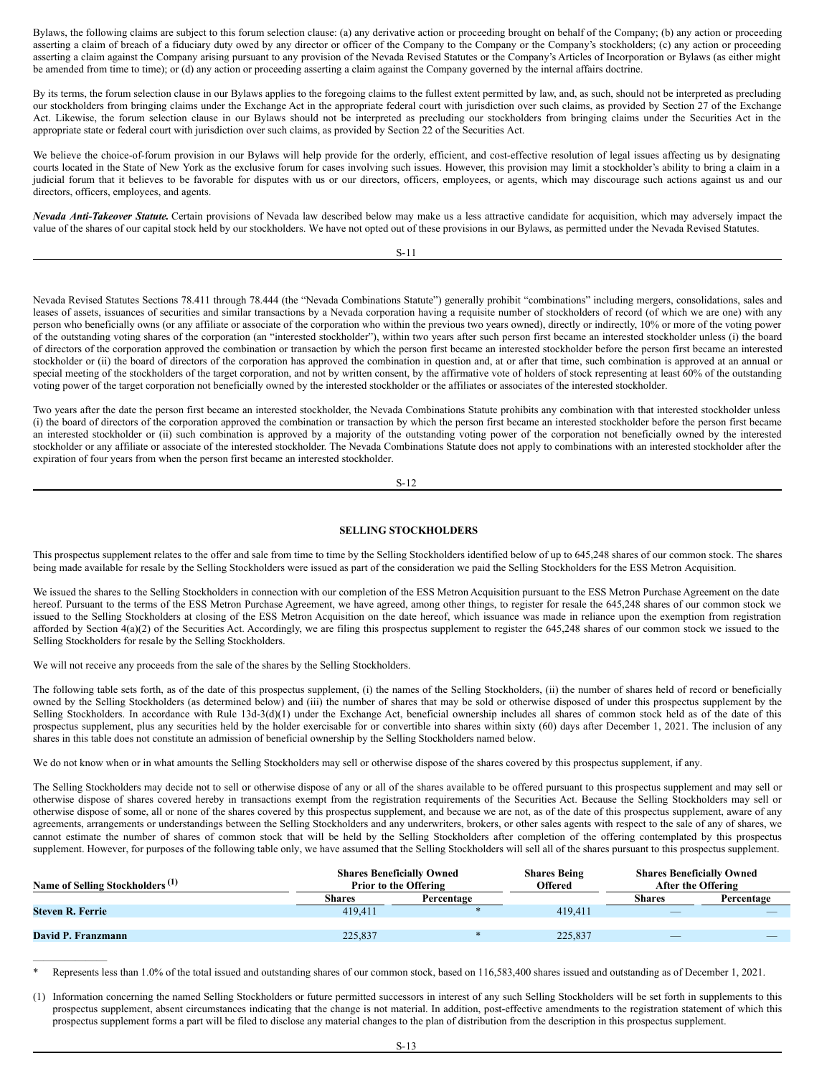Bylaws, the following claims are subject to this forum selection clause: (a) any derivative action or proceeding brought on behalf of the Company; (b) any action or proceeding asserting a claim of breach of a fiduciary duty owed by any director or officer of the Company to the Company or the Company's stockholders; (c) any action or proceeding asserting a claim against the Company arising pursuant to any provision of the Nevada Revised Statutes or the Company's Articles of Incorporation or Bylaws (as either might be amended from time to time); or (d) any action or proceeding asserting a claim against the Company governed by the internal affairs doctrine.

By its terms, the forum selection clause in our Bylaws applies to the foregoing claims to the fullest extent permitted by law, and, as such, should not be interpreted as precluding our stockholders from bringing claims under the Exchange Act in the appropriate federal court with jurisdiction over such claims, as provided by Section 27 of the Exchange Act. Likewise, the forum selection clause in our Bylaws should not be interpreted as precluding our stockholders from bringing claims under the Securities Act in the appropriate state or federal court with jurisdiction over such claims, as provided by Section 22 of the Securities Act.

We believe the choice-of-forum provision in our Bylaws will help provide for the orderly, efficient, and cost-effective resolution of legal issues affecting us by designating courts located in the State of New York as the exclusive forum for cases involving such issues. However, this provision may limit a stockholder's ability to bring a claim in a judicial forum that it believes to be favorable for disputes with us or our directors, officers, employees, or agents, which may discourage such actions against us and our directors, officers, employees, and agents.

*Nevada Anti-Takeover Statute.* Certain provisions of Nevada law described below may make us a less attractive candidate for acquisition, which may adversely impact the value of the shares of our capital stock held by our stockholders. We have not opted out of these provisions in our Bylaws, as permitted under the Nevada Revised Statutes.

S-11

Nevada Revised Statutes Sections 78.411 through 78.444 (the "Nevada Combinations Statute") generally prohibit "combinations" including mergers, consolidations, sales and leases of assets, issuances of securities and similar transactions by a Nevada corporation having a requisite number of stockholders of record (of which we are one) with any person who beneficially owns (or any affiliate or associate of the corporation who within the previous two years owned), directly or indirectly, 10% or more of the voting power of the outstanding voting shares of the corporation (an "interested stockholder"), within two years after such person first became an interested stockholder unless (i) the board of directors of the corporation approved the combination or transaction by which the person first became an interested stockholder before the person first became an interested stockholder or (ii) the board of directors of the corporation has approved the combination in question and, at or after that time, such combination is approved at an annual or special meeting of the stockholders of the target corporation, and not by written consent, by the affirmative vote of holders of stock representing at least 60% of the outstanding voting power of the target corporation not beneficially owned by the interested stockholder or the affiliates or associates of the interested stockholder.

Two years after the date the person first became an interested stockholder, the Nevada Combinations Statute prohibits any combination with that interested stockholder unless (i) the board of directors of the corporation approved the combination or transaction by which the person first became an interested stockholder before the person first became an interested stockholder or (ii) such combination is approved by a majority of the outstanding voting power of the corporation not beneficially owned by the interested stockholder or any affiliate or associate of the interested stockholder. The Nevada Combinations Statute does not apply to combinations with an interested stockholder after the expiration of four years from when the person first became an interested stockholder.

S-12

## <span id="page-7-0"></span>**SELLING STOCKHOLDERS**

This prospectus supplement relates to the offer and sale from time to time by the Selling Stockholders identified below of up to 645,248 shares of our common stock. The shares being made available for resale by the Selling Stockholders were issued as part of the consideration we paid the Selling Stockholders for the ESS Metron Acquisition.

We issued the shares to the Selling Stockholders in connection with our completion of the ESS Metron Acquisition pursuant to the ESS Metron Purchase Agreement on the date hereof. Pursuant to the terms of the ESS Metron Purchase Agreement, we have agreed, among other things, to register for resale the 645,248 shares of our common stock we issued to the Selling Stockholders at closing of the ESS Metron Acquisition on the date hereof, which issuance was made in reliance upon the exemption from registration afforded by Section 4(a)(2) of the Securities Act. Accordingly, we are filing this prospectus supplement to register the 645,248 shares of our common stock we issued to the Selling Stockholders for resale by the Selling Stockholders.

We will not receive any proceeds from the sale of the shares by the Selling Stockholders.

———————

The following table sets forth, as of the date of this prospectus supplement, (i) the names of the Selling Stockholders, (ii) the number of shares held of record or beneficially owned by the Selling Stockholders (as determined below) and (iii) the number of shares that may be sold or otherwise disposed of under this prospectus supplement by the Selling Stockholders. In accordance with Rule 13d-3(d)(1) under the Exchange Act, beneficial ownership includes all shares of common stock held as of the date of this prospectus supplement, plus any securities held by the holder exercisable for or convertible into shares within sixty (60) days after December 1, 2021. The inclusion of any shares in this table does not constitute an admission of beneficial ownership by the Selling Stockholders named below.

We do not know when or in what amounts the Selling Stockholders may sell or otherwise dispose of the shares covered by this prospectus supplement, if any.

The Selling Stockholders may decide not to sell or otherwise dispose of any or all of the shares available to be offered pursuant to this prospectus supplement and may sell or otherwise dispose of shares covered hereby in transactions exempt from the registration requirements of the Securities Act. Because the Selling Stockholders may sell or otherwise dispose of some, all or none of the shares covered by this prospectus supplement, and because we are not, as of the date of this prospectus supplement, aware of any agreements, arrangements or understandings between the Selling Stockholders and any underwriters, brokers, or other sales agents with respect to the sale of any of shares, we cannot estimate the number of shares of common stock that will be held by the Selling Stockholders after completion of the offering contemplated by this prospectus supplement. However, for purposes of the following table only, we have assumed that the Selling Stockholders will sell all of the shares pursuant to this prospectus supplement.

| Name of Selling Stockholders <sup>(1)</sup> | <b>Shares Beneficially Owned</b><br><b>Prior to the Offering</b> |            | <b>Shares Being</b><br><b>Offered</b> | <b>Shares Beneficially Owned</b><br><b>After the Offering</b> |            |
|---------------------------------------------|------------------------------------------------------------------|------------|---------------------------------------|---------------------------------------------------------------|------------|
|                                             | <b>Shares</b>                                                    | Percentage |                                       | <b>Shares</b>                                                 | Percentage |
| Steven R. Ferrie                            | 419.411                                                          |            | 419.411                               | $\overline{\phantom{a}}$                                      |            |
|                                             |                                                                  |            |                                       |                                                               |            |
| David P. Franzmann                          | 225,837                                                          |            | 225.837                               |                                                               |            |
|                                             |                                                                  |            |                                       |                                                               |            |

\* Represents less than 1.0% of the total issued and outstanding shares of our common stock, based on 116,583,400 shares issued and outstanding as of December 1, 2021.

(1) Information concerning the named Selling Stockholders or future permitted successors in interest of any such Selling Stockholders will be set forth in supplements to this prospectus supplement, absent circumstances indicating that the change is not material. In addition, post-effective amendments to the registration statement of which this prospectus supplement forms a part will be filed to disclose any material changes to the plan of distribution from the description in this prospectus supplement.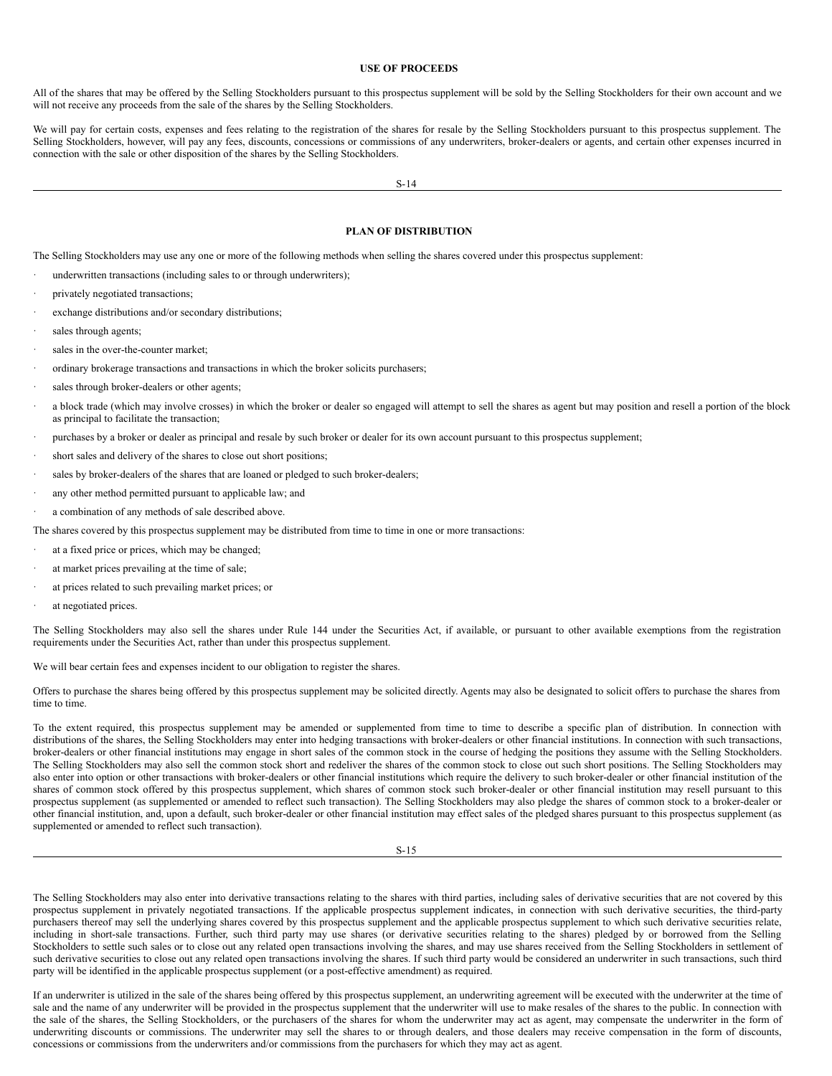## <span id="page-8-1"></span>**USE OF PROCEEDS**

All of the shares that may be offered by the Selling Stockholders pursuant to this prospectus supplement will be sold by the Selling Stockholders for their own account and we will not receive any proceeds from the sale of the shares by the Selling Stockholders.

We will pay for certain costs, expenses and fees relating to the registration of the shares for resale by the Selling Stockholders pursuant to this prospectus supplement. The Selling Stockholders, however, will pay any fees, discounts, concessions or commissions of any underwriters, broker-dealers or agents, and certain other expenses incurred in connection with the sale or other disposition of the shares by the Selling Stockholders.

S-14

## <span id="page-8-0"></span>**PLAN OF DISTRIBUTION**

The Selling Stockholders may use any one or more of the following methods when selling the shares covered under this prospectus supplement:

- underwritten transactions (including sales to or through underwriters);
- privately negotiated transactions;
- exchange distributions and/or secondary distributions;
- sales through agents:
- sales in the over-the-counter market:
- · ordinary brokerage transactions and transactions in which the broker solicits purchasers;
- sales through broker-dealers or other agents;
- a block trade (which may involve crosses) in which the broker or dealer so engaged will attempt to sell the shares as agent but may position and resell a portion of the block as principal to facilitate the transaction;
- purchases by a broker or dealer as principal and resale by such broker or dealer for its own account pursuant to this prospectus supplement;
- short sales and delivery of the shares to close out short positions;
- sales by broker-dealers of the shares that are loaned or pledged to such broker-dealers;
- any other method permitted pursuant to applicable law; and
- a combination of any methods of sale described above.
- The shares covered by this prospectus supplement may be distributed from time to time in one or more transactions:
- at a fixed price or prices, which may be changed;
- at market prices prevailing at the time of sale;
- at prices related to such prevailing market prices; or
- at negotiated prices.

The Selling Stockholders may also sell the shares under Rule 144 under the Securities Act, if available, or pursuant to other available exemptions from the registration requirements under the Securities Act, rather than under this prospectus supplement.

We will bear certain fees and expenses incident to our obligation to register the shares.

Offers to purchase the shares being offered by this prospectus supplement may be solicited directly. Agents may also be designated to solicit offers to purchase the shares from time to time.

To the extent required, this prospectus supplement may be amended or supplemented from time to time to describe a specific plan of distribution. In connection with distributions of the shares, the Selling Stockholders may enter into hedging transactions with broker-dealers or other financial institutions. In connection with such transactions, broker-dealers or other financial institutions may engage in short sales of the common stock in the course of hedging the positions they assume with the Selling Stockholders. The Selling Stockholders may also sell the common stock short and redeliver the shares of the common stock to close out such short positions. The Selling Stockholders may also enter into option or other transactions with broker-dealers or other financial institutions which require the delivery to such broker-dealer or other financial institution of the shares of common stock offered by this prospectus supplement, which shares of common stock such broker-dealer or other financial institution may resell pursuant to this prospectus supplement (as supplemented or amended to reflect such transaction). The Selling Stockholders may also pledge the shares of common stock to a broker-dealer or other financial institution, and, upon a default, such broker-dealer or other financial institution may effect sales of the pledged shares pursuant to this prospectus supplement (as supplemented or amended to reflect such transaction).

S-15

The Selling Stockholders may also enter into derivative transactions relating to the shares with third parties, including sales of derivative securities that are not covered by this prospectus supplement in privately negotiated transactions. If the applicable prospectus supplement indicates, in connection with such derivative securities, the third-party purchasers thereof may sell the underlying shares covered by this prospectus supplement and the applicable prospectus supplement to which such derivative securities relate, including in short-sale transactions. Further, such third party may use shares (or derivative securities relating to the shares) pledged by or borrowed from the Selling Stockholders to settle such sales or to close out any related open transactions involving the shares, and may use shares received from the Selling Stockholders in settlement of such derivative securities to close out any related open transactions involving the shares. If such third party would be considered an underwriter in such transactions, such third party will be identified in the applicable prospectus supplement (or a post-effective amendment) as required.

If an underwriter is utilized in the sale of the shares being offered by this prospectus supplement, an underwriting agreement will be executed with the underwriter at the time of sale and the name of any underwriter will be provided in the prospectus supplement that the underwriter will use to make resales of the shares to the public. In connection with the sale of the shares, the Selling Stockholders, or the purchasers of the shares for whom the underwriter may act as agent, may compensate the underwriter in the form of underwriting discounts or commissions. The underwriter may sell the shares to or through dealers, and those dealers may receive compensation in the form of discounts, concessions or commissions from the underwriters and/or commissions from the purchasers for which they may act as agent.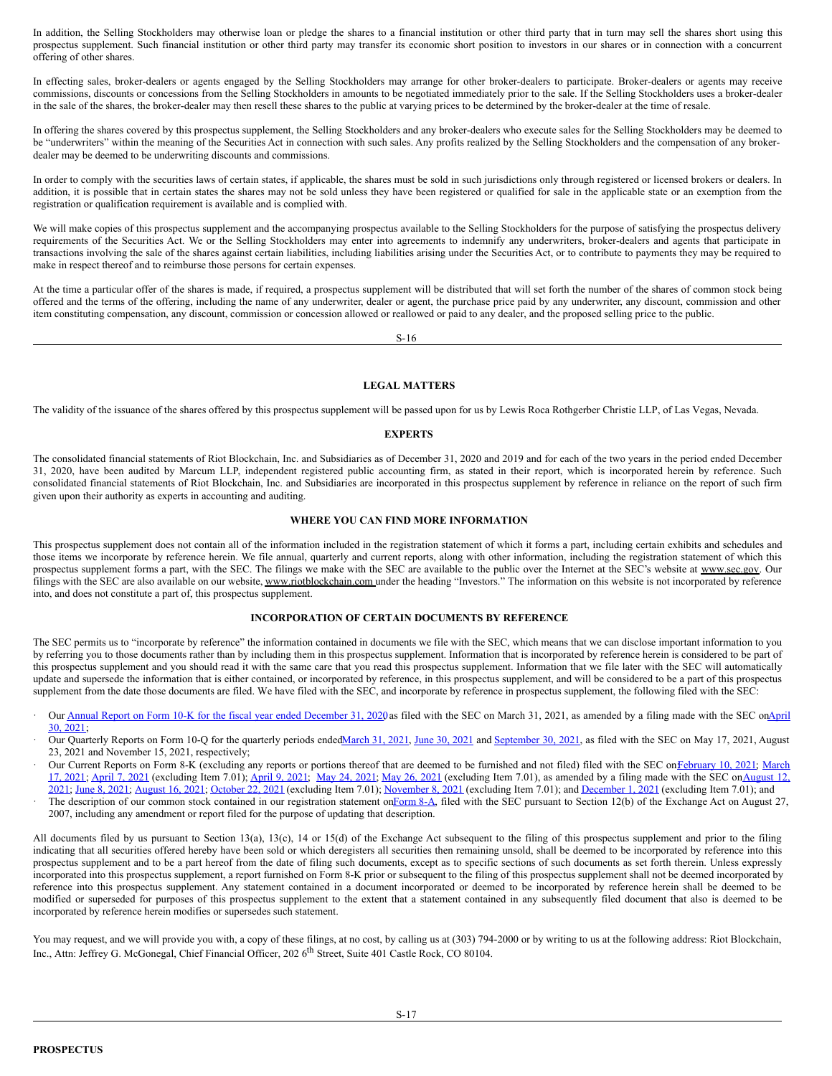In addition, the Selling Stockholders may otherwise loan or pledge the shares to a financial institution or other third party that in turn may sell the shares short using this prospectus supplement. Such financial institution or other third party may transfer its economic short position to investors in our shares or in connection with a concurrent offering of other shares.

In effecting sales, broker-dealers or agents engaged by the Selling Stockholders may arrange for other broker-dealers to participate. Broker-dealers or agents may receive commissions, discounts or concessions from the Selling Stockholders in amounts to be negotiated immediately prior to the sale. If the Selling Stockholders uses a broker-dealer in the sale of the shares, the broker-dealer may then resell these shares to the public at varying prices to be determined by the broker-dealer at the time of resale.

In offering the shares covered by this prospectus supplement, the Selling Stockholders and any broker-dealers who execute sales for the Selling Stockholders may be deemed to be "underwriters" within the meaning of the Securities Act in connection with such sales. Any profits realized by the Selling Stockholders and the compensation of any brokerdealer may be deemed to be underwriting discounts and commissions.

In order to comply with the securities laws of certain states, if applicable, the shares must be sold in such jurisdictions only through registered or licensed brokers or dealers. In addition, it is possible that in certain states the shares may not be sold unless they have been registered or qualified for sale in the applicable state or an exemption from the registration or qualification requirement is available and is complied with.

We will make copies of this prospectus supplement and the accompanying prospectus available to the Selling Stockholders for the purpose of satisfying the prospectus delivery requirements of the Securities Act. We or the Selling Stockholders may enter into agreements to indemnify any underwriters, broker-dealers and agents that participate in transactions involving the sale of the shares against certain liabilities, including liabilities arising under the Securities Act, or to contribute to payments they may be required to make in respect thereof and to reimburse those persons for certain expenses.

At the time a particular offer of the shares is made, if required, a prospectus supplement will be distributed that will set forth the number of the shares of common stock being offered and the terms of the offering, including the name of any underwriter, dealer or agent, the purchase price paid by any underwriter, any discount, commission and other item constituting compensation, any discount, commission or concession allowed or reallowed or paid to any dealer, and the proposed selling price to the public.

S-16

## <span id="page-9-2"></span>**LEGAL MATTERS**

The validity of the issuance of the shares offered by this prospectus supplement will be passed upon for us by Lewis Roca Rothgerber Christie LLP, of Las Vegas, Nevada.

## <span id="page-9-3"></span>**EXPERTS**

The consolidated financial statements of Riot Blockchain, Inc. and Subsidiaries as of December 31, 2020 and 2019 and for each of the two years in the period ended December 31, 2020, have been audited by Marcum LLP, independent registered public accounting firm, as stated in their report, which is incorporated herein by reference. Such consolidated financial statements of Riot Blockchain, Inc. and Subsidiaries are incorporated in this prospectus supplement by reference in reliance on the report of such firm given upon their authority as experts in accounting and auditing.

## <span id="page-9-0"></span>**WHERE YOU CAN FIND MORE INFORMATION**

This prospectus supplement does not contain all of the information included in the registration statement of which it forms a part, including certain exhibits and schedules and those items we incorporate by reference herein. We file annual, quarterly and current reports, along with other information, including the registration statement of which this prospectus supplement forms a part, with the SEC. The filings we make with the SEC are available to the public over the Internet at the SEC's website at www.sec.gov. Our filings with the SEC are also available on our website, www.riotblockchain.com under the heading "Investors." The information on this website is not incorporated by reference into, and does not constitute a part of, this prospectus supplement.

## <span id="page-9-1"></span>**INCORPORATION OF CERTAIN DOCUMENTS BY REFERENCE**

The SEC permits us to "incorporate by reference" the information contained in documents we file with the SEC, which means that we can disclose important information to you by referring you to those documents rather than by including them in this prospectus supplement. Information that is incorporated by reference herein is considered to be part of this prospectus supplement and you should read it with the same care that you read this prospectus supplement. Information that we file later with the SEC will automatically update and supersede the information that is either contained, or incorporated by reference, in this prospectus supplement, and will be considered to be a part of this prospectus supplement from the date those documents are filed. We have filed with the SEC, and incorporate by reference in prospectus supplement, the following filed with the SEC:

- Our Annual Report on Form 10-K for the fiscal year ended [December](http://www.sec.gov/Archives/edgar/data/1167419/000107997321000326/riot_10kaixb-123120.htm) 31, 2020 as filed with the SEC on March 31, 2021, as amended by a filing made with the SEC on $\Delta$ pril 30, 2021;
- Our Quarterly Reports on Form 10-Q for the quarterly periods ende[dMarch](http://www.sec.gov/Archives/edgar/data/1167419/000107997321000383/riot10qq1-0321.htm) 31, 2021, [June](http://www.sec.gov/Archives/edgar/data/1167419/000107997321000828/riot10qq2-0621.htm) 30, 2021 and [September](https://www.sec.gov/ix?doc=/Archives/edgar/data/1167419/000107997321001156/riot10qq3-0921.htm) 30, 2021, as filed with the SEC on May 17, 2021, August 23, 2021 and November 15, 2021, respectively;
- Our Current Reports on Form 8-K (excluding any reports or portions thereof that are deemed to be furnished and not filed) filed with the SEC on February 10, 2021; March 17, 2021; [April](http://www.sec.gov/Archives/edgar/data/1167419/000107997321000253/riot_8k-040621.htm) 7, 2021 [\(excluding](http://www.sec.gov/Archives/edgar/data/1167419/000107997321000745/riot_8ka-v3.htm) Item 7.01); [April](http://www.sec.gov/Archives/edgar/data/1167419/000107997321000264/riot_8k-040821v2.htm) 9, 2021; May 24, [2021](http://www.sec.gov/Archives/edgar/data/1167419/000107997321000412/riot_8k.htm); May 26, [2021](http://www.sec.gov/Archives/edgar/data/1167419/000107997321000426/riot_8k-052621.htm) (excluding Item 7.01), as amended by a filing made with the SEC onAugust 12,  $2021$ ; June 8, 2021; [August](http://www.sec.gov/Archives/edgar/data/1167419/000107997321000790/riot_8k-081621.htm) 16, 2021; [October](http://www.sec.gov/Archives/edgar/data/1167419/000107997321001053/riot_8k-102221.htm) 22, 2021 (excluding Item 7.01); [November](http://www.sec.gov/Archives/edgar/data/1167419/000107997321001103/riot_8k-110821.htm) 8, 2021 (excluding Item 7.01); and [December](http://www.sec.gov/Archives/edgar/data/1167419/000155335021001128/riot_8k.htm) 1, 2021 (excluding Item 7.01); and
- The description of our common stock contained in our registration statement on[Form](http://www.sec.gov/Archives/edgar/data/1167419/000107997307000759/apnb_form8a-082207.htm) 8-A, filed with the SEC pursuant to Section 12(b) of the Exchange Act on August 27, 2007, including any amendment or report filed for the purpose of updating that description.

All documents filed by us pursuant to Section 13(a), 13(c), 14 or 15(d) of the Exchange Act subsequent to the filing of this prospectus supplement and prior to the filing indicating that all securities offered hereby have been sold or which deregisters all securities then remaining unsold, shall be deemed to be incorporated by reference into this prospectus supplement and to be a part hereof from the date of filing such documents, except as to specific sections of such documents as set forth therein. Unless expressly incorporated into this prospectus supplement, a report furnished on Form 8-K prior or subsequent to the filing of this prospectus supplement shall not be deemed incorporated by reference into this prospectus supplement. Any statement contained in a document incorporated or deemed to be incorporated by reference herein shall be deemed to be modified or superseded for purposes of this prospectus supplement to the extent that a statement contained in any subsequently filed document that also is deemed to be incorporated by reference herein modifies or supersedes such statement.

You may request, and we will provide you with, a copy of these filings, at no cost, by calling us at (303) 794-2000 or by writing to us at the following address: Riot Blockchain, Inc., Attn: Jeffrey G. McGonegal, Chief Financial Officer, 202 6<sup>th</sup> Street, Suite 401 Castle Rock, CO 80104.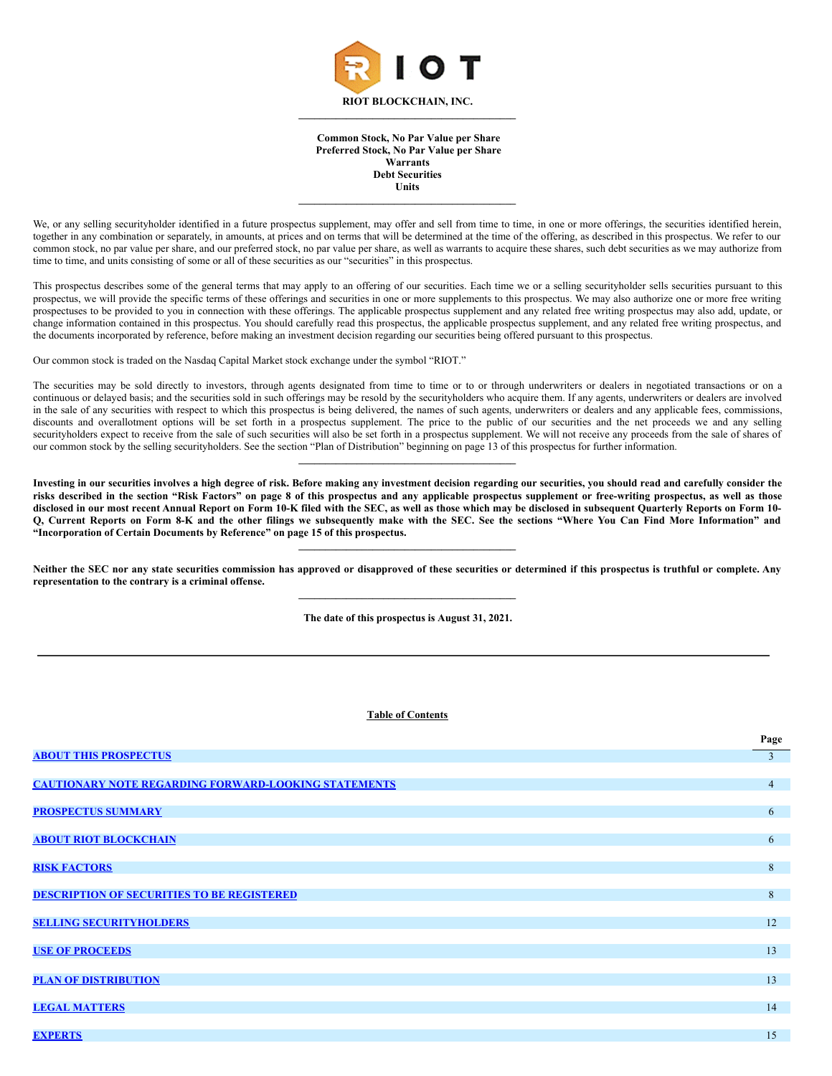

**Common Stock, No Par Value per Share Preferred Stock, No Par Value per Share Warrants Debt Securities Units**

 $\mathcal{L} = \{ \mathcal{L} \}$ 

We, or any selling securityholder identified in a future prospectus supplement, may offer and sell from time to time, in one or more offerings, the securities identified herein, together in any combination or separately, in amounts, at prices and on terms that will be determined at the time of the offering, as described in this prospectus. We refer to our common stock, no par value per share, and our preferred stock, no par value per share, as well as warrants to acquire these shares, such debt securities as we may authorize from time to time, and units consisting of some or all of these securities as our "securities" in this prospectus.

This prospectus describes some of the general terms that may apply to an offering of our securities. Each time we or a selling securityholder sells securities pursuant to this prospectus, we will provide the specific terms of these offerings and securities in one or more supplements to this prospectus. We may also authorize one or more free writing prospectuses to be provided to you in connection with these offerings. The applicable prospectus supplement and any related free writing prospectus may also add, update, or change information contained in this prospectus. You should carefully read this prospectus, the applicable prospectus supplement, and any related free writing prospectus, and the documents incorporated by reference, before making an investment decision regarding our securities being offered pursuant to this prospectus.

Our common stock is traded on the Nasdaq Capital Market stock exchange under the symbol "RIOT."

The securities may be sold directly to investors, through agents designated from time to time or to or through underwriters or dealers in negotiated transactions or on a continuous or delayed basis; and the securities sold in such offerings may be resold by the securityholders who acquire them. If any agents, underwriters or dealers are involved in the sale of any securities with respect to which this prospectus is being delivered, the names of such agents, underwriters or dealers and any applicable fees, commissions, discounts and overallotment options will be set forth in a prospectus supplement. The price to the public of our securities and the net proceeds we and any selling securityholders expect to receive from the sale of such securities will also be set forth in a prospectus supplement. We will not receive any proceeds from the sale of shares of our common stock by the selling securityholders. See the section "Plan of Distribution" beginning on page 13 of this prospectus for further information.

**\_\_\_\_\_\_\_\_\_\_\_\_\_\_\_\_\_\_\_\_\_\_\_\_\_\_\_\_\_\_\_\_\_\_\_\_\_\_\_\_\_**

Investing in our securities involves a high degree of risk. Before making any investment decision regarding our securities, you should read and carefully consider the risks described in the section "Risk Factors" on page 8 of this prospectus and any applicable prospectus supplement or free-writing prospectus, as well as those disclosed in our most recent Annual Report on Form 10-K filed with the SEC, as well as those which may be disclosed in subsequent Quarterly Reports on Form 10-Q, Current Reports on Form 8-K and the other filings we subsequently make with the SEC. See the sections "Where You Can Find More Information" and **"Incorporation of Certain Documents by Reference" on page 15 of this prospectus.**

Neither the SEC nor any state securities commission has approved or disapproved of these securities or determined if this prospectus is truthful or complete. Any **representation to the contrary is a criminal offense. \_\_\_\_\_\_\_\_\_\_\_\_\_\_\_\_\_\_\_\_\_\_\_\_\_\_\_\_\_\_\_\_\_\_\_\_\_\_\_\_\_**

**\_\_\_\_\_\_\_\_\_\_\_\_\_\_\_\_\_\_\_\_\_\_\_\_\_\_\_\_\_\_\_\_\_\_\_\_\_\_\_\_\_**

**The date of this prospectus is August 31, 2021.**

# **Table of Contents**

|                                                             | Page           |
|-------------------------------------------------------------|----------------|
| <b>ABOUT THIS PROSPECTUS</b>                                | $\overline{3}$ |
|                                                             |                |
| <b>CAUTIONARY NOTE REGARDING FORWARD-LOOKING STATEMENTS</b> | $\overline{4}$ |
|                                                             |                |
| <b>PROSPECTUS SUMMARY</b>                                   | 6              |
|                                                             |                |
| <b>ABOUT RIOT BLOCKCHAIN</b>                                | 6              |
|                                                             |                |
| <b>RISK FACTORS</b>                                         | 8              |
|                                                             |                |
| <b>DESCRIPTION OF SECURITIES TO BE REGISTERED</b>           | 8              |
| <b>SELLING SECURITYHOLDERS</b>                              | 12             |
|                                                             |                |
| <b>USE OF PROCEEDS</b>                                      | 13             |
|                                                             |                |
| <b>PLAN OF DISTRIBUTION</b>                                 | 13             |
|                                                             |                |
| <b>LEGAL MATTERS</b>                                        | 14             |
|                                                             |                |
| <b>EXPERTS</b>                                              | 15             |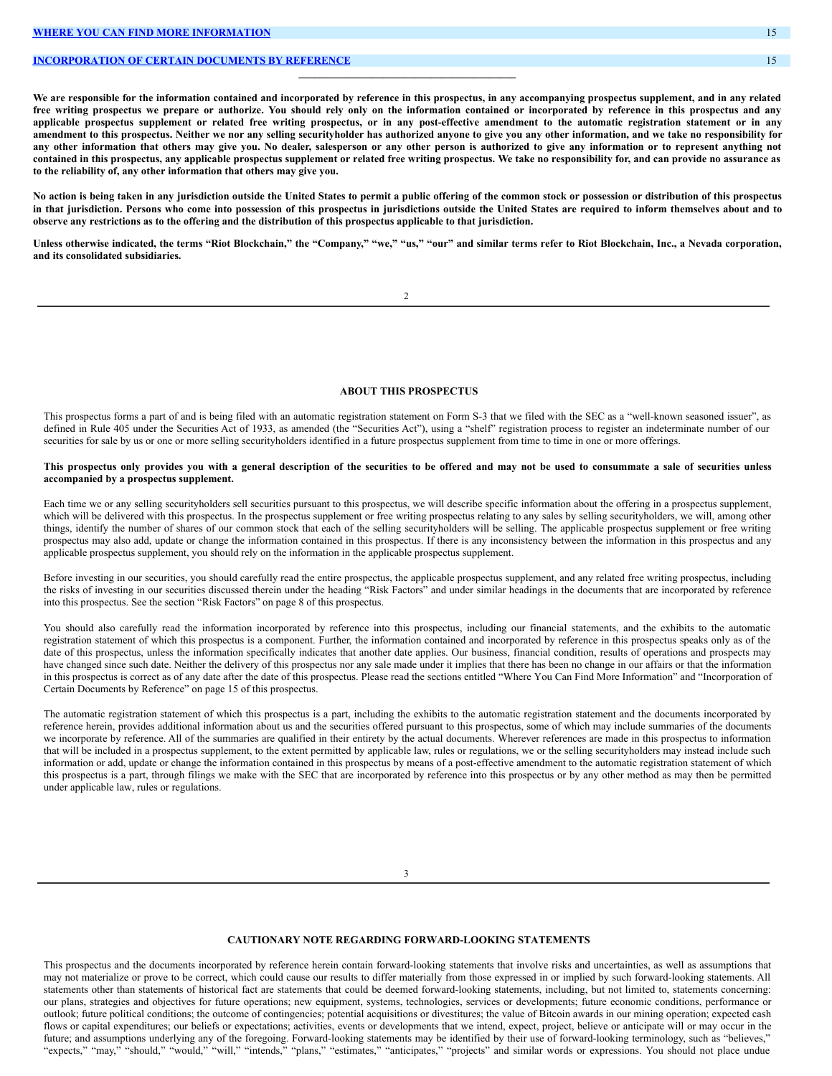## **[INCORPORATION](#page-18-3) OF CERTAIN DOCUMENTS BY REFERENCE** 15

We are responsible for the information contained and incorporated by reference in this prospectus, in any accompanying prospectus supplement, and in any related free writing prospectus we prepare or authorize. You should rely only on the information contained or incorporated by reference in this prospectus and any applicable prospectus supplement or related free writing prospectus, or in any post-effective amendment to the automatic registration statement or in any amendment to this prospectus. Neither we nor any selling securityholder has authorized anyone to give you any other information, and we take no responsibility for any other information that others may give you. No dealer, salesperson or any other person is authorized to give any information or to represent anything not contained in this prospectus, any applicable prospectus supplement or related free writing prospectus. We take no responsibility for, and can provide no assurance as **to the reliability of, any other information that others may give you.**

 $\mathcal{L} = \{ \mathcal{L} \}$ 

No action is being taken in any jurisdiction outside the United States to permit a public offering of the common stock or possession or distribution of this prospectus in that jurisdiction. Persons who come into possession of this prospectus in jurisdictions outside the United States are required to inform themselves about and to observe any restrictions as to the offering and the distribution of this prospectus applicable to that jurisdiction.

Unless otherwise indicated, the terms "Riot Blockchain," the "Company," "we," "us," "our" and similar terms refer to Riot Blockchain, Inc., a Nevada corporation, **and its consolidated subsidiaries.**

2

#### <span id="page-11-0"></span>**ABOUT THIS PROSPECTUS**

This prospectus forms a part of and is being filed with an automatic registration statement on Form S-3 that we filed with the SEC as a "well-known seasoned issuer", as defined in Rule 405 under the Securities Act of 1933, as amended (the "Securities Act"), using a "shelf" registration process to register an indeterminate number of our securities for sale by us or one or more selling securityholders identified in a future prospectus supplement from time to time in one or more offerings.

#### This prospectus only provides you with a general description of the securities to be offered and may not be used to consummate a sale of securities unless **accompanied by a prospectus supplement.**

Each time we or any selling securityholders sell securities pursuant to this prospectus, we will describe specific information about the offering in a prospectus supplement, which will be delivered with this prospectus. In the prospectus supplement or free writing prospectus relating to any sales by selling securityholders, we will, among other things, identify the number of shares of our common stock that each of the selling securityholders will be selling. The applicable prospectus supplement or free writing prospectus may also add, update or change the information contained in this prospectus. If there is any inconsistency between the information in this prospectus and any applicable prospectus supplement, you should rely on the information in the applicable prospectus supplement.

Before investing in our securities, you should carefully read the entire prospectus, the applicable prospectus supplement, and any related free writing prospectus, including the risks of investing in our securities discussed therein under the heading "Risk Factors" and under similar headings in the documents that are incorporated by reference into this prospectus. See the section "Risk Factors" on page 8 of this prospectus.

You should also carefully read the information incorporated by reference into this prospectus, including our financial statements, and the exhibits to the automatic registration statement of which this prospectus is a component. Further, the information contained and incorporated by reference in this prospectus speaks only as of the date of this prospectus, unless the information specifically indicates that another date applies. Our business, financial condition, results of operations and prospects may have changed since such date. Neither the delivery of this prospectus nor any sale made under it implies that there has been no change in our affairs or that the information in this prospectus is correct as of any date after the date of this prospectus. Please read the sections entitled "Where You Can Find More Information" and "Incorporation of Certain Documents by Reference" on page 15 of this prospectus.

The automatic registration statement of which this prospectus is a part, including the exhibits to the automatic registration statement and the documents incorporated by reference herein, provides additional information about us and the securities offered pursuant to this prospectus, some of which may include summaries of the documents we incorporate by reference. All of the summaries are qualified in their entirety by the actual documents. Wherever references are made in this prospectus to information that will be included in a prospectus supplement, to the extent permitted by applicable law, rules or regulations, we or the selling securityholders may instead include such information or add, update or change the information contained in this prospectus by means of a post-effective amendment to the automatic registration statement of which this prospectus is a part, through filings we make with the SEC that are incorporated by reference into this prospectus or by any other method as may then be permitted under applicable law, rules or regulations.

3

## <span id="page-11-1"></span>**CAUTIONARY NOTE REGARDING FORWARD-LOOKING STATEMENTS**

This prospectus and the documents incorporated by reference herein contain forward-looking statements that involve risks and uncertainties, as well as assumptions that may not materialize or prove to be correct, which could cause our results to differ materially from those expressed in or implied by such forward-looking statements. All statements other than statements of historical fact are statements that could be deemed forward-looking statements, including, but not limited to, statements concerning: our plans, strategies and objectives for future operations; new equipment, systems, technologies, services or developments; future economic conditions, performance or outlook; future political conditions; the outcome of contingencies; potential acquisitions or divestitures; the value of Bitcoin awards in our mining operation; expected cash flows or capital expenditures; our beliefs or expectations; activities, events or developments that we intend, expect, project, believe or anticipate will or may occur in the future; and assumptions underlying any of the foregoing. Forward-looking statements may be identified by their use of forward-looking terminology, such as "believes," "expects," "may," "should," "would," "will," "intends," "plans," "estimates," "anticipates," "projects" and similar words or expressions. You should not place undue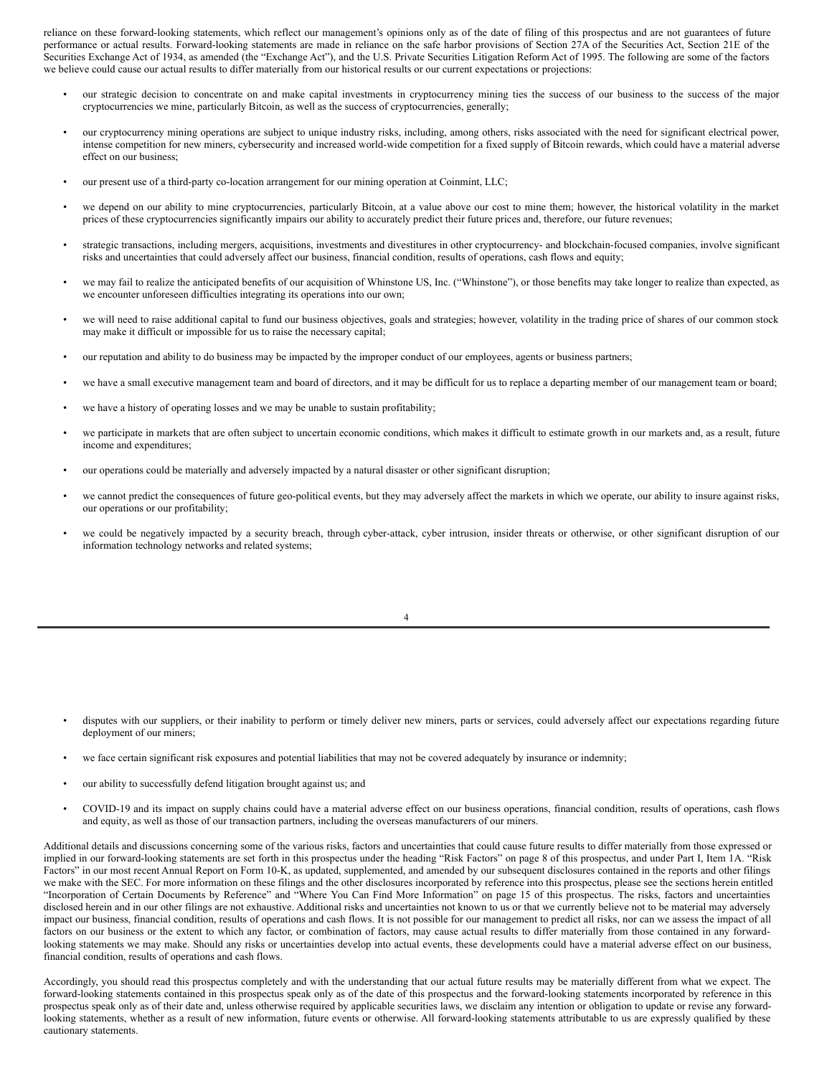reliance on these forward-looking statements, which reflect our management's opinions only as of the date of filing of this prospectus and are not guarantees of future performance or actual results. Forward-looking statements are made in reliance on the safe harbor provisions of Section 27A of the Securities Act, Section 21E of the Securities Exchange Act of 1934, as amended (the "Exchange Act"), and the U.S. Private Securities Litigation Reform Act of 1995. The following are some of the factors we believe could cause our actual results to differ materially from our historical results or our current expectations or projections:

- our strategic decision to concentrate on and make capital investments in cryptocurrency mining ties the success of our business to the success of the major cryptocurrencies we mine, particularly Bitcoin, as well as the success of cryptocurrencies, generally;
- our cryptocurrency mining operations are subject to unique industry risks, including, among others, risks associated with the need for significant electrical power, intense competition for new miners, cybersecurity and increased world-wide competition for a fixed supply of Bitcoin rewards, which could have a material adverse effect on our business;
- our present use of a third-party co-location arrangement for our mining operation at Coinmint, LLC;
- we depend on our ability to mine cryptocurrencies, particularly Bitcoin, at a value above our cost to mine them; however, the historical volatility in the market prices of these cryptocurrencies significantly impairs our ability to accurately predict their future prices and, therefore, our future revenues;
- strategic transactions, including mergers, acquisitions, investments and divestitures in other cryptocurrency- and blockchain-focused companies, involve significant risks and uncertainties that could adversely affect our business, financial condition, results of operations, cash flows and equity;
- we may fail to realize the anticipated benefits of our acquisition of Whinstone US, Inc. ("Whinstone"), or those benefits may take longer to realize than expected, as we encounter unforeseen difficulties integrating its operations into our own;
- we will need to raise additional capital to fund our business objectives, goals and strategies; however, volatility in the trading price of shares of our common stock may make it difficult or impossible for us to raise the necessary capital;
- our reputation and ability to do business may be impacted by the improper conduct of our employees, agents or business partners;
- we have a small executive management team and board of directors, and it may be difficult for us to replace a departing member of our management team or board;
- we have a history of operating losses and we may be unable to sustain profitability;
- we participate in markets that are often subject to uncertain economic conditions, which makes it difficult to estimate growth in our markets and, as a result, future income and expenditures;
- our operations could be materially and adversely impacted by a natural disaster or other significant disruption;
- we cannot predict the consequences of future geo-political events, but they may adversely affect the markets in which we operate, our ability to insure against risks, our operations or our profitability;
- we could be negatively impacted by a security breach, through cyber-attack, cyber intrusion, insider threats or otherwise, or other significant disruption of our information technology networks and related systems;

4

- disputes with our suppliers, or their inability to perform or timely deliver new miners, parts or services, could adversely affect our expectations regarding future deployment of our miners;
- we face certain significant risk exposures and potential liabilities that may not be covered adequately by insurance or indemnity;
- our ability to successfully defend litigation brought against us; and
- COVID-19 and its impact on supply chains could have a material adverse effect on our business operations, financial condition, results of operations, cash flows and equity, as well as those of our transaction partners, including the overseas manufacturers of our miners.

Additional details and discussions concerning some of the various risks, factors and uncertainties that could cause future results to differ materially from those expressed or implied in our forward-looking statements are set forth in this prospectus under the heading "Risk Factors" on page 8 of this prospectus, and under Part I, Item 1A. "Risk Factors" in our most recent Annual Report on Form 10-K, as updated, supplemented, and amended by our subsequent disclosures contained in the reports and other filings we make with the SEC. For more information on these filings and the other disclosures incorporated by reference into this prospectus, please see the sections herein entitled "Incorporation of Certain Documents by Reference" and "Where You Can Find More Information" on page 15 of this prospectus. The risks, factors and uncertainties disclosed herein and in our other filings are not exhaustive. Additional risks and uncertainties not known to us or that we currently believe not to be material may adversely impact our business, financial condition, results of operations and cash flows. It is not possible for our management to predict all risks, nor can we assess the impact of all factors on our business or the extent to which any factor, or combination of factors, may cause actual results to differ materially from those contained in any forwardlooking statements we may make. Should any risks or uncertainties develop into actual events, these developments could have a material adverse effect on our business, financial condition, results of operations and cash flows.

Accordingly, you should read this prospectus completely and with the understanding that our actual future results may be materially different from what we expect. The forward-looking statements contained in this prospectus speak only as of the date of this prospectus and the forward-looking statements incorporated by reference in this prospectus speak only as of their date and, unless otherwise required by applicable securities laws, we disclaim any intention or obligation to update or revise any forwardlooking statements, whether as a result of new information, future events or otherwise. All forward-looking statements attributable to us are expressly qualified by these cautionary statements.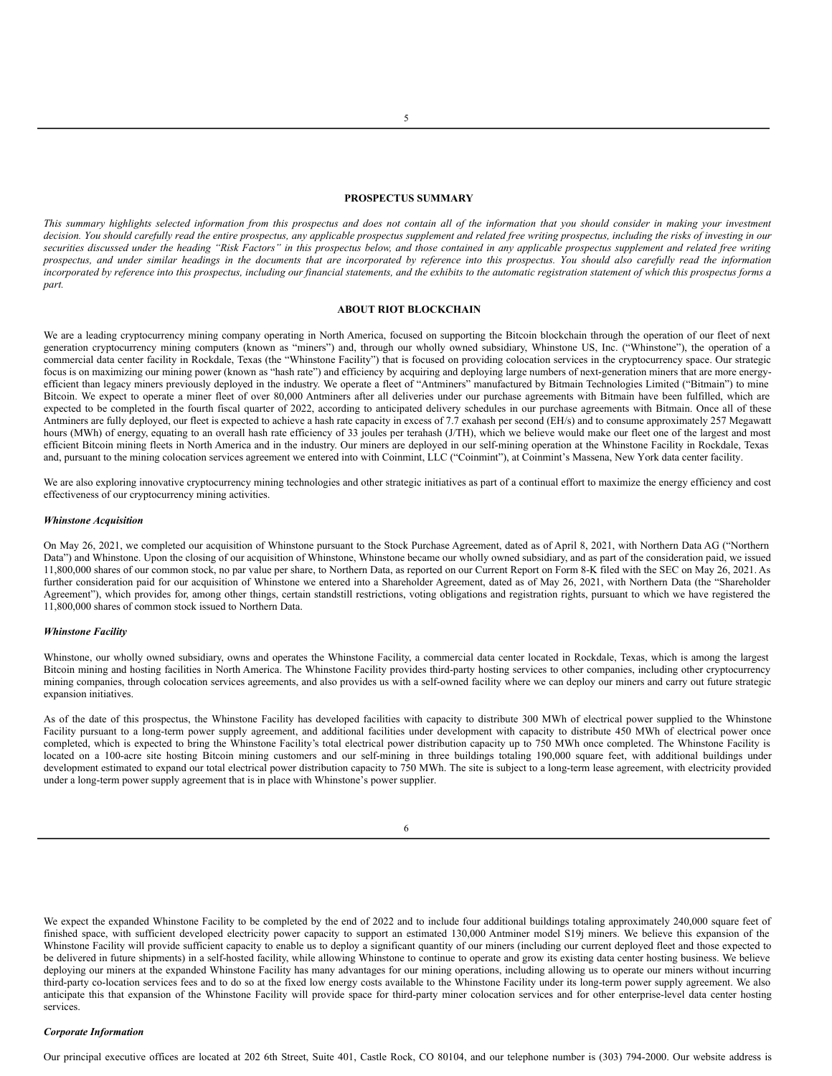#### <span id="page-13-0"></span>**PROSPECTUS SUMMARY**

This summary highlights selected information from this prospectus and does not contain all of the information that you should consider in making your investment decision. You should carefully read the entire prospectus, any applicable prospectus supplement and related free writing prospectus, including the risks of investing in our securities discussed under the heading "Risk Factors" in this prospectus below, and those contained in any applicable prospectus supplement and related free writing prospectus, and under similar headings in the documents that are incorporated by reference into this prospectus. You should also carefully read the information incorporated by reference into this prospectus, including our financial statements, and the exhibits to the automatic registration statement of which this prospectus forms a *part.*

#### <span id="page-13-1"></span>**ABOUT RIOT BLOCKCHAIN**

We are a leading cryptocurrency mining company operating in North America, focused on supporting the Bitcoin blockchain through the operation of our fleet of next generation cryptocurrency mining computers (known as "miners") and, through our wholly owned subsidiary, Whinstone US, Inc. ("Whinstone"), the operation of a commercial data center facility in Rockdale, Texas (the "Whinstone Facility") that is focused on providing colocation services in the cryptocurrency space. Our strategic focus is on maximizing our mining power (known as "hash rate") and efficiency by acquiring and deploying large numbers of next-generation miners that are more energyefficient than legacy miners previously deployed in the industry. We operate a fleet of "Antminers" manufactured by Bitmain Technologies Limited ("Bitmain") to mine Bitcoin. We expect to operate a miner fleet of over 80,000 Antminers after all deliveries under our purchase agreements with Bitmain have been fulfilled, which are expected to be completed in the fourth fiscal quarter of 2022, according to anticipated delivery schedules in our purchase agreements with Bitmain. Once all of these Antminers are fully deployed, our fleet is expected to achieve a hash rate capacity in excess of 7.7 exahash per second (EH/s) and to consume approximately 257 Megawatt hours (MWh) of energy, equating to an overall hash rate efficiency of 33 joules per terahash (J/TH), which we believe would make our fleet one of the largest and most efficient Bitcoin mining fleets in North America and in the industry. Our miners are deployed in our self-mining operation at the Whinstone Facility in Rockdale, Texas and, pursuant to the mining colocation services agreement we entered into with Coinmint, LLC ("Coinmint"), at Coinmint's Massena, New York data center facility.

We are also exploring innovative cryptocurrency mining technologies and other strategic initiatives as part of a continual effort to maximize the energy efficiency and cost effectiveness of our cryptocurrency mining activities.

#### *Whinstone Acquisition*

On May 26, 2021, we completed our acquisition of Whinstone pursuant to the Stock Purchase Agreement, dated as of April 8, 2021, with Northern Data AG ("Northern Data") and Whinstone. Upon the closing of our acquisition of Whinstone, Whinstone became our wholly owned subsidiary, and as part of the consideration paid, we issued 11,800,000 shares of our common stock, no par value per share, to Northern Data, as reported on our Current Report on Form 8-K filed with the SEC on May 26, 2021. As further consideration paid for our acquisition of Whinstone we entered into a Shareholder Agreement, dated as of May 26, 2021, with Northern Data (the "Shareholder Agreement"), which provides for, among other things, certain standstill restrictions, voting obligations and registration rights, pursuant to which we have registered the 11,800,000 shares of common stock issued to Northern Data.

#### *Whinstone Facility*

Whinstone, our wholly owned subsidiary, owns and operates the Whinstone Facility, a commercial data center located in Rockdale, Texas, which is among the largest Bitcoin mining and hosting facilities in North America. The Whinstone Facility provides third-party hosting services to other companies, including other cryptocurrency mining companies, through colocation services agreements, and also provides us with a self-owned facility where we can deploy our miners and carry out future strategic expansion initiatives.

As of the date of this prospectus, the Whinstone Facility has developed facilities with capacity to distribute 300 MWh of electrical power supplied to the Whinstone Facility pursuant to a long-term power supply agreement, and additional facilities under development with capacity to distribute 450 MWh of electrical power once completed, which is expected to bring the Whinstone Facility's total electrical power distribution capacity up to 750 MWh once completed. The Whinstone Facility is located on a 100-acre site hosting Bitcoin mining customers and our self-mining in three buildings totaling 190,000 square feet, with additional buildings under development estimated to expand our total electrical power distribution capacity to 750 MWh. The site is subject to a long-term lease agreement, with electricity provided under a long-term power supply agreement that is in place with Whinstone's power supplier.

We expect the expanded Whinstone Facility to be completed by the end of 2022 and to include four additional buildings totaling approximately 240,000 square feet of finished space, with sufficient developed electricity power capacity to support an estimated 130,000 Antminer model S19j miners. We believe this expansion of the Whinstone Facility will provide sufficient capacity to enable us to deploy a significant quantity of our miners (including our current deployed fleet and those expected to be delivered in future shipments) in a self-hosted facility, while allowing Whinstone to continue to operate and grow its existing data center hosting business. We believe deploying our miners at the expanded Whinstone Facility has many advantages for our mining operations, including allowing us to operate our miners without incurring third-party co-location services fees and to do so at the fixed low energy costs available to the Whinstone Facility under its long-term power supply agreement. We also anticipate this that expansion of the Whinstone Facility will provide space for third-party miner colocation services and for other enterprise-level data center hosting services.

#### *Corporate Information*

Our principal executive offices are located at 202 6th Street, Suite 401, Castle Rock, CO 80104, and our telephone number is (303) 794-2000. Our website address is

<sup>6</sup>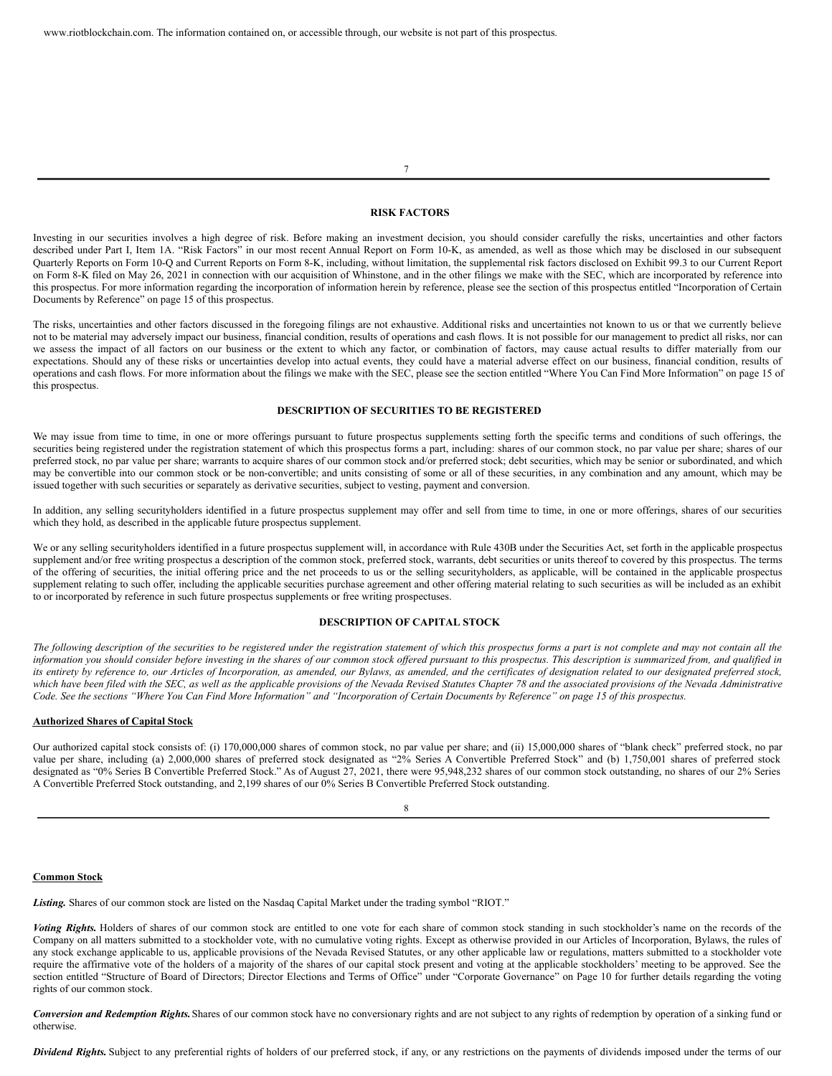<span id="page-14-0"></span>**RISK FACTORS**

7

Investing in our securities involves a high degree of risk. Before making an investment decision, you should consider carefully the risks, uncertainties and other factors described under Part I, Item 1A. "Risk Factors" in our most recent Annual Report on Form 10-K, as amended, as well as those which may be disclosed in our subsequent Quarterly Reports on Form 10-Q and Current Reports on Form 8-K, including, without limitation, the supplemental risk factors disclosed on Exhibit 99.3 to our Current Report on Form 8-K filed on May 26, 2021 in connection with our acquisition of Whinstone, and in the other filings we make with the SEC, which are incorporated by reference into this prospectus. For more information regarding the incorporation of information herein by reference, please see the section of this prospectus entitled "Incorporation of Certain Documents by Reference" on page 15 of this prospectus.

The risks, uncertainties and other factors discussed in the foregoing filings are not exhaustive. Additional risks and uncertainties not known to us or that we currently believe not to be material may adversely impact our business, financial condition, results of operations and cash flows. It is not possible for our management to predict all risks, nor can we assess the impact of all factors on our business or the extent to which any factor, or combination of factors, may cause actual results to differ materially from our expectations. Should any of these risks or uncertainties develop into actual events, they could have a material adverse effect on our business, financial condition, results of operations and cash flows. For more information about the filings we make with the SEC, please see the section entitled "Where You Can Find More Information" on page 15 of this prospectus.

#### <span id="page-14-1"></span>**DESCRIPTION OF SECURITIES TO BE REGISTERED**

We may issue from time to time, in one or more offerings pursuant to future prospectus supplements setting forth the specific terms and conditions of such offerings, the securities being registered under the registration statement of which this prospectus forms a part, including: shares of our common stock, no par value per share; shares of our preferred stock, no par value per share; warrants to acquire shares of our common stock and/or preferred stock; debt securities, which may be senior or subordinated, and which may be convertible into our common stock or be non-convertible; and units consisting of some or all of these securities, in any combination and any amount, which may be issued together with such securities or separately as derivative securities, subject to vesting, payment and conversion.

In addition, any selling securityholders identified in a future prospectus supplement may offer and sell from time to time, in one or more offerings, shares of our securities which they hold, as described in the applicable future prospectus supplement.

We or any selling securityholders identified in a future prospectus supplement will, in accordance with Rule 430B under the Securities Act, set forth in the applicable prospectus supplement and/or free writing prospectus a description of the common stock, preferred stock, warrants, debt securities or units thereof to covered by this prospectus. The terms of the offering of securities, the initial offering price and the net proceeds to us or the selling securityholders, as applicable, will be contained in the applicable prospectus supplement relating to such offer, including the applicable securities purchase agreement and other offering material relating to such securities as will be included as an exhibit to or incorporated by reference in such future prospectus supplements or free writing prospectuses.

### **DESCRIPTION OF CAPITAL STOCK**

The following description of the securities to be registered under the registration statement of which this prospectus forms a part is not complete and may not contain all the information you should consider before investing in the shares of our common stock offered pursuant to this prospectus. This description is summarized from, and qualified in its entirety by reference to, our Articles of Incorporation, as amended, our Bylaws, as amended, and the certificates of designation related to our designated preferred stock, which have been filed with the SEC, as well as the applicable provisions of the Nevada Revised Statutes Chapter 78 and the associated provisions of the Nevada Administrative Code. See the sections "Where You Can Find More Information" and "Incorporation of Certain Documents by Reference" on page 15 of this prospectus.

#### **Authorized Shares of Capital Stock**

Our authorized capital stock consists of: (i) 170,000,000 shares of common stock, no par value per share; and (ii) 15,000,000 shares of "blank check" preferred stock, no par value per share, including (a) 2,000,000 shares of preferred stock designated as "2% Series A Convertible Preferred Stock" and (b) 1,750,001 shares of preferred stock designated as "0% Series B Convertible Preferred Stock." As of August 27, 2021, there were 95,948,232 shares of our common stock outstanding, no shares of our 2% Series A Convertible Preferred Stock outstanding, and 2,199 shares of our 0% Series B Convertible Preferred Stock outstanding.

### 8

#### **Common Stock**

*Listing.* Shares of our common stock are listed on the Nasdaq Capital Market under the trading symbol "RIOT."

Voting Rights. Holders of shares of our common stock are entitled to one vote for each share of common stock standing in such stockholder's name on the records of the Company on all matters submitted to a stockholder vote, with no cumulative voting rights. Except as otherwise provided in our Articles of Incorporation, Bylaws, the rules of any stock exchange applicable to us, applicable provisions of the Nevada Revised Statutes, or any other applicable law or regulations, matters submitted to a stockholder vote require the affirmative vote of the holders of a majority of the shares of our capital stock present and voting at the applicable stockholders' meeting to be approved. See the section entitled "Structure of Board of Directors; Director Elections and Terms of Office" under "Corporate Governance" on Page 10 for further details regarding the voting rights of our common stock.

*Conversion and Redemption Rights.*Shares of our common stock have no conversionary rights and are not subject to any rights of redemption by operation of a sinking fund or otherwise.

*Dividend Rights.* Subject to any preferential rights of holders of our preferred stock, if any, or any restrictions on the payments of dividends imposed under the terms of our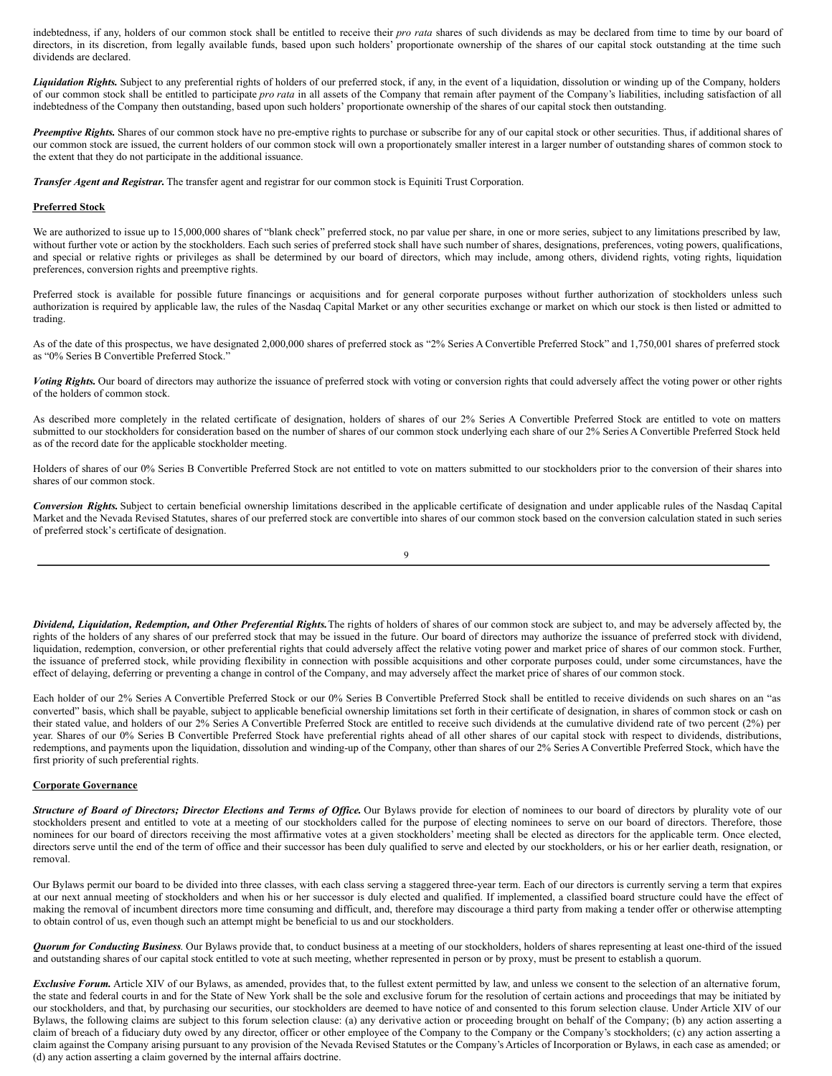indebtedness, if any, holders of our common stock shall be entitled to receive their *pro rata* shares of such dividends as may be declared from time to time by our board of directors, in its discretion, from legally available funds, based upon such holders' proportionate ownership of the shares of our capital stock outstanding at the time such dividends are declared.

Liquidation Rights. Subject to any preferential rights of holders of our preferred stock, if any, in the event of a liquidation, dissolution or winding up of the Company, holders of our common stock shall be entitled to participate *pro rata* in all assets of the Company that remain after payment of the Company's liabilities, including satisfaction of all indebtedness of the Company then outstanding, based upon such holders' proportionate ownership of the shares of our capital stock then outstanding.

*Preemptive Rights.* Shares of our common stock have no pre-emptive rights to purchase or subscribe for any of our capital stock or other securities. Thus, if additional shares of our common stock are issued, the current holders of our common stock will own a proportionately smaller interest in a larger number of outstanding shares of common stock to the extent that they do not participate in the additional issuance.

*Transfer Agent and Registrar.* The transfer agent and registrar for our common stock is Equiniti Trust Corporation.

## **Preferred Stock**

We are authorized to issue up to 15,000,000 shares of "blank check" preferred stock, no par value per share, in one or more series, subject to any limitations prescribed by law, without further vote or action by the stockholders. Each such series of preferred stock shall have such number of shares, designations, preferences, voting powers, qualifications, and special or relative rights or privileges as shall be determined by our board of directors, which may include, among others, dividend rights, voting rights, liquidation preferences, conversion rights and preemptive rights.

Preferred stock is available for possible future financings or acquisitions and for general corporate purposes without further authorization of stockholders unless such authorization is required by applicable law, the rules of the Nasdaq Capital Market or any other securities exchange or market on which our stock is then listed or admitted to trading.

As of the date of this prospectus, we have designated 2,000,000 shares of preferred stock as "2% Series A Convertible Preferred Stock" and 1,750,001 shares of preferred stock as "0% Series B Convertible Preferred Stock."

*Voting Rights.* Our board of directors may authorize the issuance of preferred stock with voting or conversion rights that could adversely affect the voting power or other rights of the holders of common stock.

As described more completely in the related certificate of designation, holders of shares of our 2% Series A Convertible Preferred Stock are entitled to vote on matters submitted to our stockholders for consideration based on the number of shares of our common stock underlying each share of our 2% Series A Convertible Preferred Stock held as of the record date for the applicable stockholder meeting.

Holders of shares of our 0% Series B Convertible Preferred Stock are not entitled to vote on matters submitted to our stockholders prior to the conversion of their shares into shares of our common stock.

*Conversion Rights.* Subject to certain beneficial ownership limitations described in the applicable certificate of designation and under applicable rules of the Nasdaq Capital Market and the Nevada Revised Statutes, shares of our preferred stock are convertible into shares of our common stock based on the conversion calculation stated in such series of preferred stock's certificate of designation.

| I                      |
|------------------------|
|                        |
| v<br>I<br>i<br>I<br>۰. |
| ٠                      |

*Dividend, Liquidation, Redemption, and Other Preferential Rights.*The rights of holders of shares of our common stock are subject to, and may be adversely affected by, the rights of the holders of any shares of our preferred stock that may be issued in the future. Our board of directors may authorize the issuance of preferred stock with dividend, liquidation, redemption, conversion, or other preferential rights that could adversely affect the relative voting power and market price of shares of our common stock. Further, the issuance of preferred stock, while providing flexibility in connection with possible acquisitions and other corporate purposes could, under some circumstances, have the effect of delaying, deferring or preventing a change in control of the Company, and may adversely affect the market price of shares of our common stock.

Each holder of our 2% Series A Convertible Preferred Stock or our 0% Series B Convertible Preferred Stock shall be entitled to receive dividends on such shares on an "as converted" basis, which shall be payable, subject to applicable beneficial ownership limitations set forth in their certificate of designation, in shares of common stock or cash on their stated value, and holders of our 2% Series A Convertible Preferred Stock are entitled to receive such dividends at the cumulative dividend rate of two percent (2%) per year. Shares of our 0% Series B Convertible Preferred Stock have preferential rights ahead of all other shares of our capital stock with respect to dividends, distributions, redemptions, and payments upon the liquidation, dissolution and winding-up of the Company, other than shares of our 2% Series A Convertible Preferred Stock, which have the first priority of such preferential rights.

## **Corporate Governance**

Structure of Board of Directors; Director Elections and Terms of Office. Our Bylaws provide for election of nominees to our board of directors by plurality vote of our stockholders present and entitled to vote at a meeting of our stockholders called for the purpose of electing nominees to serve on our board of directors. Therefore, those nominees for our board of directors receiving the most affirmative votes at a given stockholders' meeting shall be elected as directors for the applicable term. Once elected, directors serve until the end of the term of office and their successor has been duly qualified to serve and elected by our stockholders, or his or her earlier death, resignation, or removal.

Our Bylaws permit our board to be divided into three classes, with each class serving a staggered three-year term. Each of our directors is currently serving a term that expires at our next annual meeting of stockholders and when his or her successor is duly elected and qualified. If implemented, a classified board structure could have the effect of making the removal of incumbent directors more time consuming and difficult, and, therefore may discourage a third party from making a tender offer or otherwise attempting to obtain control of us, even though such an attempt might be beneficial to us and our stockholders.

*Quorum for Conducting Business*. Our Bylaws provide that, to conduct business at a meeting of our stockholders, holders of shares representing at least one-third of the issued and outstanding shares of our capital stock entitled to vote at such meeting, whether represented in person or by proxy, must be present to establish a quorum.

*Exclusive Forum.* Article XIV of our Bylaws, as amended, provides that, to the fullest extent permitted by law, and unless we consent to the selection of an alternative forum, the state and federal courts in and for the State of New York shall be the sole and exclusive forum for the resolution of certain actions and proceedings that may be initiated by our stockholders, and that, by purchasing our securities, our stockholders are deemed to have notice of and consented to this forum selection clause. Under Article XIV of our Bylaws, the following claims are subject to this forum selection clause: (a) any derivative action or proceeding brought on behalf of the Company; (b) any action asserting a claim of breach of a fiduciary duty owed by any director, officer or other employee of the Company to the Company or the Company's stockholders; (c) any action asserting a claim against the Company arising pursuant to any provision of the Nevada Revised Statutes or the Company's Articles of Incorporation or Bylaws, in each case as amended; or (d) any action asserting a claim governed by the internal affairs doctrine.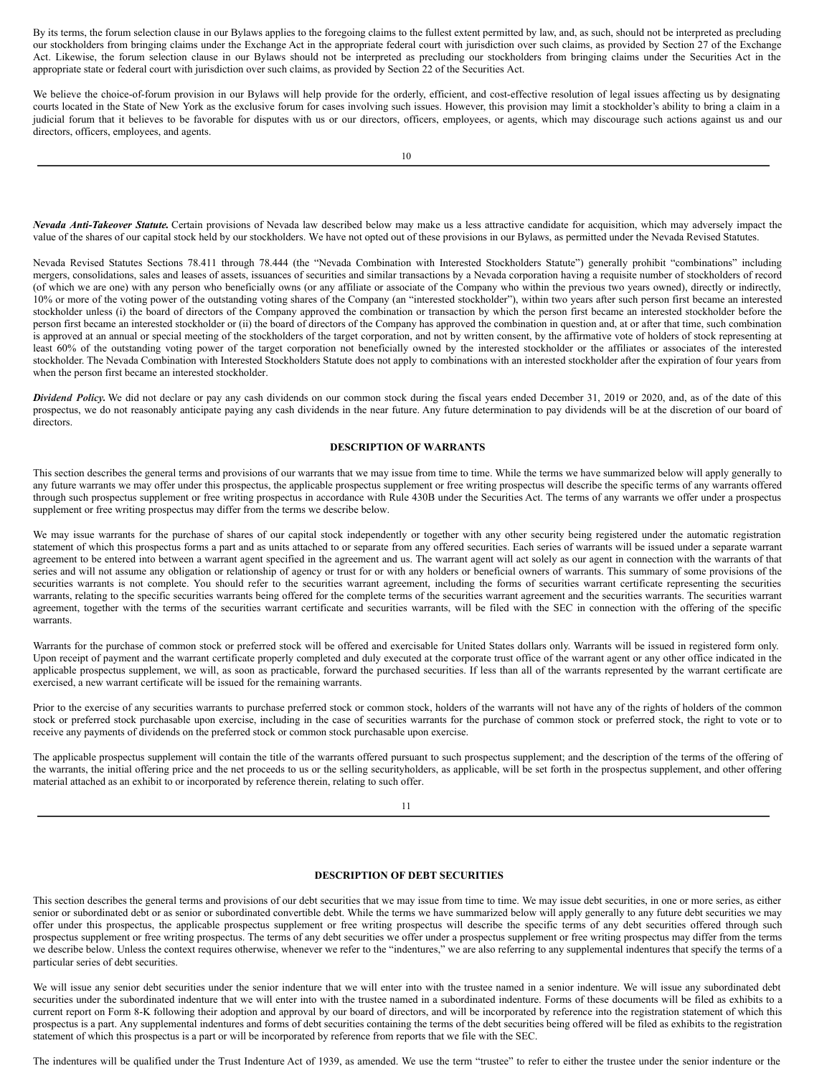By its terms, the forum selection clause in our Bylaws applies to the foregoing claims to the fullest extent permitted by law, and, as such, should not be interpreted as precluding our stockholders from bringing claims under the Exchange Act in the appropriate federal court with jurisdiction over such claims, as provided by Section 27 of the Exchange Act. Likewise, the forum selection clause in our Bylaws should not be interpreted as precluding our stockholders from bringing claims under the Securities Act in the appropriate state or federal court with jurisdiction over such claims, as provided by Section 22 of the Securities Act.

We believe the choice-of-forum provision in our Bylaws will help provide for the orderly, efficient, and cost-effective resolution of legal issues affecting us by designating courts located in the State of New York as the exclusive forum for cases involving such issues. However, this provision may limit a stockholder's ability to bring a claim in a judicial forum that it believes to be favorable for disputes with us or our directors, officers, employees, or agents, which may discourage such actions against us and our directors, officers, employees, and agents.

*Nevada Anti-Takeover Statute.* Certain provisions of Nevada law described below may make us a less attractive candidate for acquisition, which may adversely impact the value of the shares of our capital stock held by our stockholders. We have not opted out of these provisions in our Bylaws, as permitted under the Nevada Revised Statutes.

Nevada Revised Statutes Sections 78.411 through 78.444 (the "Nevada Combination with Interested Stockholders Statute") generally prohibit "combinations" including mergers, consolidations, sales and leases of assets, issuances of securities and similar transactions by a Nevada corporation having a requisite number of stockholders of record (of which we are one) with any person who beneficially owns (or any affiliate or associate of the Company who within the previous two years owned), directly or indirectly, 10% or more of the voting power of the outstanding voting shares of the Company (an "interested stockholder"), within two years after such person first became an interested stockholder unless (i) the board of directors of the Company approved the combination or transaction by which the person first became an interested stockholder before the person first became an interested stockholder or (ii) the board of directors of the Company has approved the combination in question and, at or after that time, such combination is approved at an annual or special meeting of the stockholders of the target corporation, and not by written consent, by the affirmative vote of holders of stock representing at least 60% of the outstanding voting power of the target corporation not beneficially owned by the interested stockholder or the affiliates or associates of the interested stockholder. The Nevada Combination with Interested Stockholders Statute does not apply to combinations with an interested stockholder after the expiration of four years from when the person first became an interested stockholder.

*Dividend Policy.* We did not declare or pay any cash dividends on our common stock during the fiscal years ended December 31, 2019 or 2020, and, as of the date of this prospectus, we do not reasonably anticipate paying any cash dividends in the near future. Any future determination to pay dividends will be at the discretion of our board of directors.

## **DESCRIPTION OF WARRANTS**

This section describes the general terms and provisions of our warrants that we may issue from time to time. While the terms we have summarized below will apply generally to any future warrants we may offer under this prospectus, the applicable prospectus supplement or free writing prospectus will describe the specific terms of any warrants offered through such prospectus supplement or free writing prospectus in accordance with Rule 430B under the Securities Act. The terms of any warrants we offer under a prospectus supplement or free writing prospectus may differ from the terms we describe below.

We may issue warrants for the purchase of shares of our capital stock independently or together with any other security being registered under the automatic registration statement of which this prospectus forms a part and as units attached to or separate from any offered securities. Each series of warrants will be issued under a separate warrant agreement to be entered into between a warrant agent specified in the agreement and us. The warrant agent will act solely as our agent in connection with the warrants of that series and will not assume any obligation or relationship of agency or trust for or with any holders or beneficial owners of warrants. This summary of some provisions of the securities warrants is not complete. You should refer to the securities warrant agreement, including the forms of securities warrant certificate representing the securities warrants, relating to the specific securities warrants being offered for the complete terms of the securities warrant agreement and the securities warrants. The securities warrant agreement, together with the terms of the securities warrant certificate and securities warrants, will be filed with the SEC in connection with the offering of the specific warrants.

Warrants for the purchase of common stock or preferred stock will be offered and exercisable for United States dollars only. Warrants will be issued in registered form only. Upon receipt of payment and the warrant certificate properly completed and duly executed at the corporate trust office of the warrant agent or any other office indicated in the applicable prospectus supplement, we will, as soon as practicable, forward the purchased securities. If less than all of the warrants represented by the warrant certificate are exercised, a new warrant certificate will be issued for the remaining warrants.

Prior to the exercise of any securities warrants to purchase preferred stock or common stock, holders of the warrants will not have any of the rights of holders of the common stock or preferred stock purchasable upon exercise, including in the case of securities warrants for the purchase of common stock or preferred stock, the right to vote or to receive any payments of dividends on the preferred stock or common stock purchasable upon exercise.

The applicable prospectus supplement will contain the title of the warrants offered pursuant to such prospectus supplement; and the description of the terms of the offering of the warrants, the initial offering price and the net proceeds to us or the selling securityholders, as applicable, will be set forth in the prospectus supplement, and other offering material attached as an exhibit to or incorporated by reference therein, relating to such offer.

11

# **DESCRIPTION OF DEBT SECURITIES**

This section describes the general terms and provisions of our debt securities that we may issue from time to time. We may issue debt securities, in one or more series, as either senior or subordinated debt or as senior or subordinated convertible debt. While the terms we have summarized below will apply generally to any future debt securities we may offer under this prospectus, the applicable prospectus supplement or free writing prospectus will describe the specific terms of any debt securities offered through such prospectus supplement or free writing prospectus. The terms of any debt securities we offer under a prospectus supplement or free writing prospectus may differ from the terms we describe below. Unless the context requires otherwise, whenever we refer to the "indentures," we are also referring to any supplemental indentures that specify the terms of a particular series of debt securities.

We will issue any senior debt securities under the senior indenture that we will enter into with the trustee named in a senior indenture. We will issue any subordinated debt securities under the subordinated indenture that we will enter into with the trustee named in a subordinated indenture. Forms of these documents will be filed as exhibits to a current report on Form 8-K following their adoption and approval by our board of directors, and will be incorporated by reference into the registration statement of which this prospectus is a part. Any supplemental indentures and forms of debt securities containing the terms of the debt securities being offered will be filed as exhibits to the registration statement of which this prospectus is a part or will be incorporated by reference from reports that we file with the SEC.

The indentures will be qualified under the Trust Indenture Act of 1939, as amended. We use the term "trustee" to refer to either the trustee under the senior indenture or the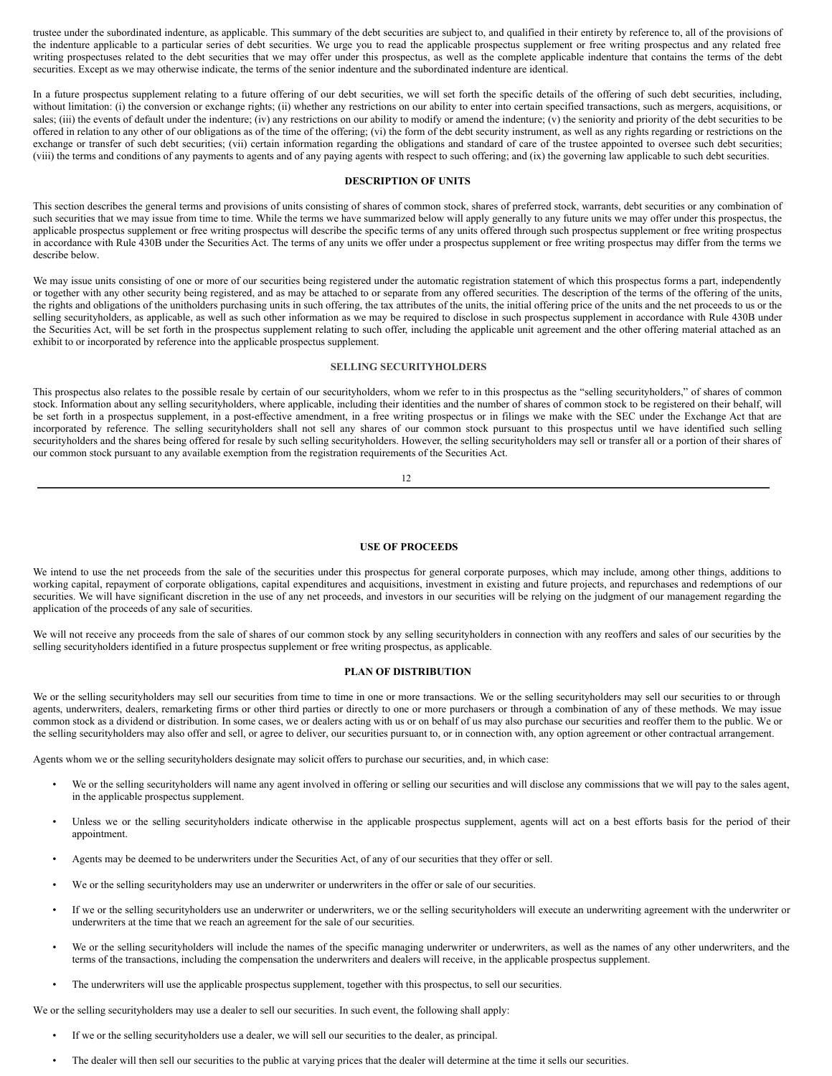trustee under the subordinated indenture, as applicable. This summary of the debt securities are subject to, and qualified in their entirety by reference to, all of the provisions of the indenture applicable to a particular series of debt securities. We urge you to read the applicable prospectus supplement or free writing prospectus and any related free writing prospectuses related to the debt securities that we may offer under this prospectus, as well as the complete applicable indenture that contains the terms of the debt securities. Except as we may otherwise indicate, the terms of the senior indenture and the subordinated indenture are identical.

In a future prospectus supplement relating to a future offering of our debt securities, we will set forth the specific details of the offering of such debt securities, including, without limitation: (i) the conversion or exchange rights; (ii) whether any restrictions on our ability to enter into certain specified transactions, such as mergers, acquisitions, or sales; (iii) the events of default under the indenture; (iv) any restrictions on our ability to modify or amend the indenture; (v) the seniority and priority of the debt securities to be offered in relation to any other of our obligations as of the time of the offering; (vi) the form of the debt security instrument, as well as any rights regarding or restrictions on the exchange or transfer of such debt securities; (vii) certain information regarding the obligations and standard of care of the trustee appointed to oversee such debt securities; (viii) the terms and conditions of any payments to agents and of any paying agents with respect to such offering; and (ix) the governing law applicable to such debt securities.

## **DESCRIPTION OF UNITS**

This section describes the general terms and provisions of units consisting of shares of common stock, shares of preferred stock, warrants, debt securities or any combination of such securities that we may issue from time to time. While the terms we have summarized below will apply generally to any future units we may offer under this prospectus, the applicable prospectus supplement or free writing prospectus will describe the specific terms of any units offered through such prospectus supplement or free writing prospectus in accordance with Rule 430B under the Securities Act. The terms of any units we offer under a prospectus supplement or free writing prospectus may differ from the terms we describe below.

We may issue units consisting of one or more of our securities being registered under the automatic registration statement of which this prospectus forms a part, independently or together with any other security being registered, and as may be attached to or separate from any offered securities. The description of the terms of the offering of the units, the rights and obligations of the unitholders purchasing units in such offering, the tax attributes of the units, the initial offering price of the units and the net proceeds to us or the selling securityholders, as applicable, as well as such other information as we may be required to disclose in such prospectus supplement in accordance with Rule 430B under the Securities Act, will be set forth in the prospectus supplement relating to such offer, including the applicable unit agreement and the other offering material attached as an exhibit to or incorporated by reference into the applicable prospectus supplement.

### <span id="page-17-0"></span>**SELLING SECURITYHOLDERS**

This prospectus also relates to the possible resale by certain of our securityholders, whom we refer to in this prospectus as the "selling securityholders," of shares of common stock. Information about any selling securityholders, where applicable, including their identities and the number of shares of common stock to be registered on their behalf, will be set forth in a prospectus supplement, in a post-effective amendment, in a free writing prospectus or in filings we make with the SEC under the Exchange Act that are incorporated by reference. The selling securityholders shall not sell any shares of our common stock pursuant to this prospectus until we have identified such selling securityholders and the shares being offered for resale by such selling securityholders. However, the selling securityholders may sell or transfer all or a portion of their shares of our common stock pursuant to any available exemption from the registration requirements of the Securities Act.

12

#### <span id="page-17-1"></span>**USE OF PROCEEDS**

We intend to use the net proceeds from the sale of the securities under this prospectus for general corporate purposes, which may include, among other things, additions to working capital, repayment of corporate obligations, capital expenditures and acquisitions, investment in existing and future projects, and repurchases and redemptions of our securities. We will have significant discretion in the use of any net proceeds, and investors in our securities will be relying on the judgment of our management regarding the application of the proceeds of any sale of securities.

We will not receive any proceeds from the sale of shares of our common stock by any selling securityholders in connection with any reoffers and sales of our securities by the selling securityholders identified in a future prospectus supplement or free writing prospectus, as applicable.

#### <span id="page-17-2"></span>**PLAN OF DISTRIBUTION**

We or the selling securityholders may sell our securities from time to time in one or more transactions. We or the selling securityholders may sell our securities to or through agents, underwriters, dealers, remarketing firms or other third parties or directly to one or more purchasers or through a combination of any of these methods. We may issue common stock as a dividend or distribution. In some cases, we or dealers acting with us or on behalf of us may also purchase our securities and reoffer them to the public. We or the selling securityholders may also offer and sell, or agree to deliver, our securities pursuant to, or in connection with, any option agreement or other contractual arrangement.

Agents whom we or the selling securityholders designate may solicit offers to purchase our securities, and, in which case:

- We or the selling securityholders will name any agent involved in offering or selling our securities and will disclose any commissions that we will pay to the sales agent, in the applicable prospectus supplement.
- Unless we or the selling securityholders indicate otherwise in the applicable prospectus supplement, agents will act on a best efforts basis for the period of their appointment.
- Agents may be deemed to be underwriters under the Securities Act, of any of our securities that they offer or sell.
- We or the selling securityholders may use an underwriter or underwriters in the offer or sale of our securities.
- If we or the selling securityholders use an underwriter or underwriters, we or the selling securityholders will execute an underwriting agreement with the underwriter or underwriters at the time that we reach an agreement for the sale of our securities.
- We or the selling securityholders will include the names of the specific managing underwriter or underwriters, as well as the names of any other underwriters, and the terms of the transactions, including the compensation the underwriters and dealers will receive, in the applicable prospectus supplement.
- The underwriters will use the applicable prospectus supplement, together with this prospectus, to sell our securities.

We or the selling securityholders may use a dealer to sell our securities. In such event, the following shall apply:

- If we or the selling securityholders use a dealer, we will sell our securities to the dealer, as principal.
- The dealer will then sell our securities to the public at varying prices that the dealer will determine at the time it sells our securities.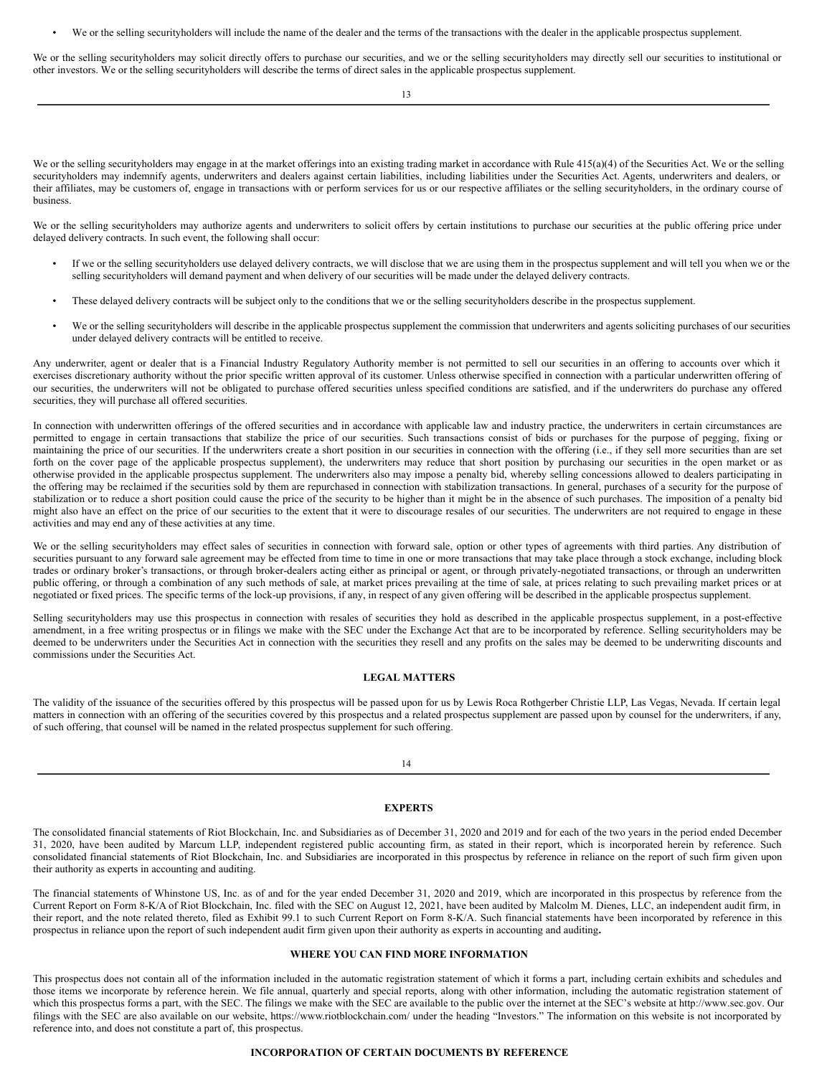We or the selling securityholders will include the name of the dealer and the terms of the transactions with the dealer in the applicable prospectus supplement.

We or the selling securityholders may solicit directly offers to purchase our securities, and we or the selling securityholders may directly sell our securities to institutional or other investors. We or the selling securityholders will describe the terms of direct sales in the applicable prospectus supplement.

13

We or the selling securityholders may engage in at the market offerings into an existing trading market in accordance with Rule 415(a)(4) of the Securities Act. We or the selling securityholders may indemnify agents, underwriters and dealers against certain liabilities, including liabilities under the Securities Act. Agents, underwriters and dealers, or their affiliates, may be customers of, engage in transactions with or perform services for us or our respective affiliates or the selling securityholders, in the ordinary course of business.

We or the selling securityholders may authorize agents and underwriters to solicit offers by certain institutions to purchase our securities at the public offering price under delayed delivery contracts. In such event, the following shall occur:

- If we or the selling securityholders use delayed delivery contracts, we will disclose that we are using them in the prospectus supplement and will tell you when we or the selling securityholders will demand payment and when delivery of our securities will be made under the delayed delivery contracts.
- These delayed delivery contracts will be subject only to the conditions that we or the selling securityholders describe in the prospectus supplement.
- We or the selling securityholders will describe in the applicable prospectus supplement the commission that underwriters and agents soliciting purchases of our securities under delayed delivery contracts will be entitled to receive.

Any underwriter, agent or dealer that is a Financial Industry Regulatory Authority member is not permitted to sell our securities in an offering to accounts over which it exercises discretionary authority without the prior specific written approval of its customer. Unless otherwise specified in connection with a particular underwritten offering of our securities, the underwriters will not be obligated to purchase offered securities unless specified conditions are satisfied, and if the underwriters do purchase any offered securities, they will purchase all offered securities.

In connection with underwritten offerings of the offered securities and in accordance with applicable law and industry practice, the underwriters in certain circumstances are permitted to engage in certain transactions that stabilize the price of our securities. Such transactions consist of bids or purchases for the purpose of pegging, fixing or maintaining the price of our securities. If the underwriters create a short position in our securities in connection with the offering (i.e., if they sell more securities than are set forth on the cover page of the applicable prospectus supplement), the underwriters may reduce that short position by purchasing our securities in the open market or as otherwise provided in the applicable prospectus supplement. The underwriters also may impose a penalty bid, whereby selling concessions allowed to dealers participating in the offering may be reclaimed if the securities sold by them are repurchased in connection with stabilization transactions. In general, purchases of a security for the purpose of stabilization or to reduce a short position could cause the price of the security to be higher than it might be in the absence of such purchases. The imposition of a penalty bid might also have an effect on the price of our securities to the extent that it were to discourage resales of our securities. The underwriters are not required to engage in these activities and may end any of these activities at any time.

We or the selling securityholders may effect sales of securities in connection with forward sale, option or other types of agreements with third parties. Any distribution of securities pursuant to any forward sale agreement may be effected from time to time in one or more transactions that may take place through a stock exchange, including block trades or ordinary broker's transactions, or through broker-dealers acting either as principal or agent, or through privately-negotiated transactions, or through an underwritten public offering, or through a combination of any such methods of sale, at market prices prevailing at the time of sale, at prices relating to such prevailing market prices or at negotiated or fixed prices. The specific terms of the lock-up provisions, if any, in respect of any given offering will be described in the applicable prospectus supplement.

Selling securityholders may use this prospectus in connection with resales of securities they hold as described in the applicable prospectus supplement, in a post-effective amendment, in a free writing prospectus or in filings we make with the SEC under the Exchange Act that are to be incorporated by reference. Selling securityholders may be deemed to be underwriters under the Securities Act in connection with the securities they resell and any profits on the sales may be deemed to be underwriting discounts and commissions under the Securities Act.

## <span id="page-18-0"></span>**LEGAL MATTERS**

The validity of the issuance of the securities offered by this prospectus will be passed upon for us by Lewis Roca Rothgerber Christie LLP, Las Vegas, Nevada. If certain legal matters in connection with an offering of the securities covered by this prospectus and a related prospectus supplement are passed upon by counsel for the underwriters, if any, of such offering, that counsel will be named in the related prospectus supplement for such offering.

14

# <span id="page-18-1"></span>**EXPERTS**

The consolidated financial statements of Riot Blockchain, Inc. and Subsidiaries as of December 31, 2020 and 2019 and for each of the two years in the period ended December 31, 2020, have been audited by Marcum LLP, independent registered public accounting firm, as stated in their report, which is incorporated herein by reference. Such consolidated financial statements of Riot Blockchain, Inc. and Subsidiaries are incorporated in this prospectus by reference in reliance on the report of such firm given upon their authority as experts in accounting and auditing.

The financial statements of Whinstone US, Inc. as of and for the year ended December 31, 2020 and 2019, which are incorporated in this prospectus by reference from the Current Report on Form 8-K/A of Riot Blockchain, Inc. filed with the SEC on August 12, 2021, have been audited by Malcolm M. Dienes, LLC, an independent audit firm, in their report, and the note related thereto, filed as Exhibit 99.1 to such Current Report on Form 8-K/A. Such financial statements have been incorporated by reference in this prospectus in reliance upon the report of such independent audit firm given upon their authority as experts in accounting and auditing**.**

#### <span id="page-18-2"></span>**WHERE YOU CAN FIND MORE INFORMATION**

This prospectus does not contain all of the information included in the automatic registration statement of which it forms a part, including certain exhibits and schedules and those items we incorporate by reference herein. We file annual, quarterly and special reports, along with other information, including the automatic registration statement of which this prospectus forms a part, with the SEC. The filings we make with the SEC are available to the public over the internet at the SEC's website at http://www.sec.gov. Our filings with the SEC are also available on our website, https://www.riotblockchain.com/ under the heading "Investors." The information on this website is not incorporated by reference into, and does not constitute a part of, this prospectus.

# <span id="page-18-3"></span>**INCORPORATION OF CERTAIN DOCUMENTS BY REFERENCE**